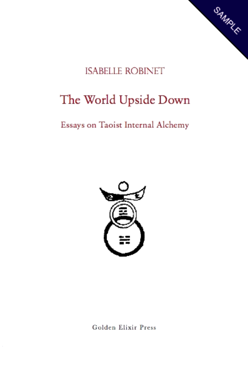

## **ISABELLE ROBINET**

# The World Upside Down

## Essays on Taoist Internal Alchemy



Golden Elixir Press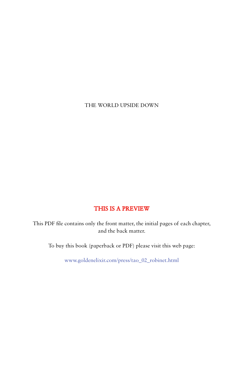THE WORLD UPSIDE DOWN

## THIS IS A PREVIEW

This PDF file contains only the front matter, the initial pages of each chapter, and the back matter.

To buy this book (paperback or PDF) please visit this web page:

www.goldenelixir.com/press/tao\_02\_robinet.html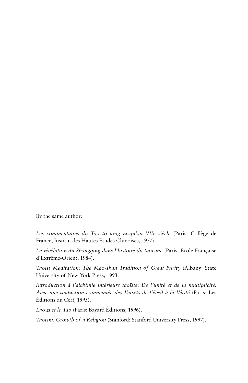By the same author:

*Les commentaires du Tao tö king jusqu'au VIIe siècle* (Paris: Collège de France, Institut des Hautes Études Chinoises, 1977).

*La révélation du Shangqing dans l'histoire du taoïsme* (Paris: École Française d'Extrême-Orient, 1984).

*Taoist Meditation: The Mao-shan Tradition of Great Purity* (Albany: State University of New York Press, 1993.

*Introduction à l'alchimie intérieure taoïste: De l'unité et de la multiplicité. Avec une traduction commentée des Versets de l'éveil à la Vérité* (Paris: Les Éditions du Cerf, 1995).

*Lao zi et le Tao* (Paris: Bayard Éditions, 1996).

*Taoism: Growth of a Religion* (Stanford: Stanford University Press, 1997).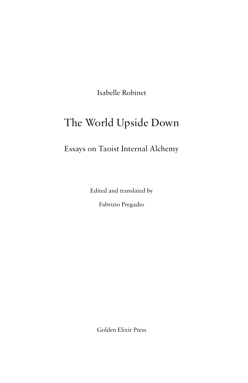Isabelle Robinet

## The World Upside Down

Essays on Taoist Internal Alchemy

Edited and translated by

Fabrizio Pregadio

Golden Elixir Press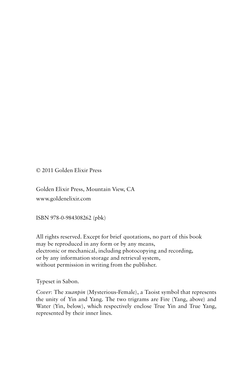© 2011 Golden Elixir Press

Golden Elixir Press, Mountain View, CA www.goldenelixir.com

ISBN 978-0-984308262 (pbk)

All rights reserved. Except for brief quotations, no part of this book may be reproduced in any form or by any means, electronic or mechanical, including photocopying and recording, or by any information storage and retrieval system, without permission in writing from the publisher.

Typeset in Sabon.

*Cover*: The *xuanpin* (Mysterious-Female), a Taoist symbol that represents the unity of Yin and Yang. The two trigrams are Fire (Yang, above) and Water (Yin, below), which respectively enclose True Yin and True Yang, represented by their inner lines.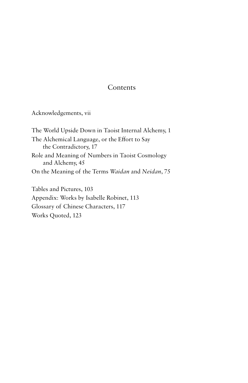## Contents

Acknowledgements, vii

The World Upside Down in Taoist Internal Alchemy, 1 The Alchemical Language, or the Effort to Say the Contradictory, 17 Role and Meaning of Numbers in Taoist Cosmology and Alchemy, 45 On the Meaning of the Terms *Waidan* and *Neidan*, 75

Tables and Pictures, 103 Appendix: Works by Isabelle Robinet, 113 Glossary of Chinese Characters, 117 Works Quoted, 123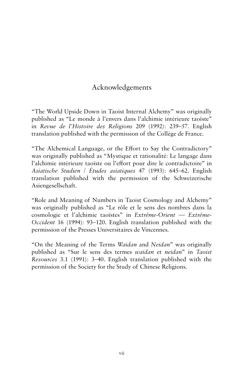## Acknowledgements

"The World Upside Down in Taoist Internal Alchemy" was originally published as "Le monde à l'envers dans l'alchimie intérieure taoïste" in *Revue de l'Histoire des Religions* 209 (1992): 239–57. English translation published with the permission of the Collège de France.

"The Alchemical Language, or the Effort to Say the Contradictory" was originally published as "Mystique et rationalité: Le langage dans l'alchimie intérieure taoïste ou l'effort pour dire le contradictoire" in *Asiatische Studien / Études asiatiques* 47 (1993): 645–62. English translation published with the permission of the Schweizerische Asiengesellschaft.

"Role and Meaning of Numbers in Taoist Cosmology and Alchemy" was originally published as "Le rôle et le sens des nombres dans la cosmologie et l'alchimie taoïstes" in *Extrême-Orient — Extrême-Occident* 16 (1994): 93–120. English translation published with the permission of the Presses Universitaires de Vincennes.

"On the Meaning of the Terms *Waidan* and *Neidan*" was originally published as "Sur le sens des termes *waidan* et *neidan*" in *Taoist Resources* 3.1 (1991): 3–40. English translation published with the permission of the Society for the Study of Chinese Religions.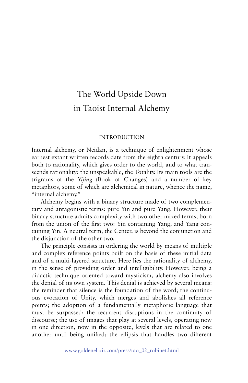## The World Upside Down in Taoist Internal Alchemy

## INTRODUCTION

Internal alchemy, or Neidan, is a technique of enlightenment whose earliest extant written records date from the eighth century. It appeals both to rationality, which gives order to the world, and to what transcends rationality: the unspeakable, the Totality. Its main tools are the trigrams of the *Yijing* (Book of Changes) and a number of key metaphors, some of which are alchemical in nature, whence the name, "internal alchemy."

Alchemy begins with a binary structure made of two complementary and antagonistic terms: pure Yin and pure Yang. However, their binary structure admits complexity with two other mixed terms, born from the union of the first two: Yin containing Yang, and Yang containing Yin. A neutral term, the Center, is beyond the conjunction and the disjunction of the other two.

The principle consists in ordering the world by means of multiple and complex reference points built on the basis of these initial data and of a multi-layered structure. Here lies the rationality of alchemy, in the sense of providing order and intelligibility. However, being a didactic technique oriented toward mysticism, alchemy also involves the denial of its own system. This denial is achieved by several means: the reminder that silence is the foundation of the word; the continuous evocation of Unity, which merges and abolishes all reference points; the adoption of a fundamentally metaphoric language that must be surpassed; the recurrent disruptions in the continuity of discourse; the use of images that play at several levels, operating now in one direction, now in the opposite, levels that are related to one another until being unified; the ellipsis that handles two different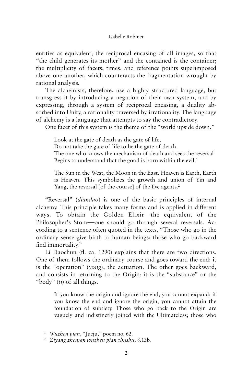## Isabelle Robinet

entities as equivalent; the reciprocal encasing of all images, so that "the child generates its mother" and the contained is the container; the multiplicity of facets, times, and reference points superimposed above one another, which counteracts the fragmentation wrought by rational analysis.

The alchemists, therefore, use a highly structured language, but transgress it by introducing a negation of their own system, and by expressing, through a system of reciprocal encasing, a duality absorbed into Unity, a rationality traversed by irrationality. The language of alchemy is a language that attempts to say the contradictory.

One facet of this system is the theme of the "world upside down."

Look at the gate of death as the gate of life,

Do not take the gate of life to be the gate of death.

The one who knows the mechanism of death and sees the reversal Begins to understand that the good is born within the evil.<sup>1</sup>

The Sun in the West, the Moon in the East. Heaven is Earth, Earth is Heaven. This symbolizes the growth and union of Yin and Yang, the reversal [of the course] of the five agents.<sup>2</sup>

"Reversal" (*diandao*) is one of the basic principles of internal alchemy. This principle takes many forms and is applied in different ways. To obtain the Golden Elixir—the equivalent of the Philosopher's Stone—one should go through several reversals. According to a sentence often quoted in the texts, "Those who go in the ordinary sense give birth to human beings; those who go backward find immortality."

Li Daochun (fl. ca. 1290) explains that there are two directions. One of them follows the ordinary course and goes toward the end: it is the "operation" (*yong*), the actuation. The other goes backward, and consists in returning to the Origin: it is the "substance" or the "body" (*ti*) of all things.

If you know the origin and ignore the end, you cannot expand; if you know the end and ignore the origin, you cannot attain the foundation of subtlety. Those who go back to the Origin are vaguely and indistinctly joined with the Ultimateless; those who

<sup>1</sup> *Wuzhen pian*, "Jueju," poem no. 62.

<sup>2</sup> *Ziyang zhenren wuzhen pian zhushu*, 8.13b.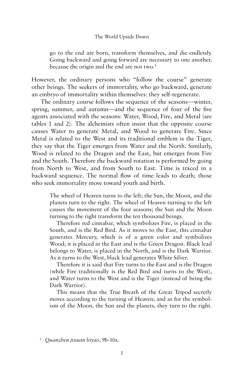#### The World Upside Down

go to the end are born, transform themselves, and die endlessly. Going backward and going forward are necessary to one another, because the origin and the end are not two.<sup>3</sup>

However, the ordinary persons who "follow the course" generate other beings. The seekers of immortality, who go backward, generate an embryo of immortality within themselves: they self-regenerate.

The ordinary course follows the sequence of the seasons—winter, spring, summer, and autumn—and the sequence of four of the five agents associated with the seasons: Water, Wood, Fire, and Metal (see tables 1 and 2). The alchemists often insist that the opposite course causes Water to generate Metal, and Wood to generate Fire. Since Metal is related to the West and its traditional emblem is the Tiger, they say that the Tiger emerges from Water and the North. Similarly, Wood is related to the Dragon and the East, but emerges from Fire and the South. Therefore the backward rotation is performed by going from North to West, and from South to East. Time is traced in a backward sequence. The normal flow of time leads to death; those who seek immortality move toward youth and birth.

The wheel of Heaven turns to the left; the Sun, the Moon, and the planets turn to the right. The wheel of Heaven turning to the left causes the movement of the four seasons; the Sun and the Moon turning to the right transform the ten thousand beings.

Therefore red cinnabar, which symbolizes Fire, is placed in the South, and is the Red Bird. As it moves to the East, this cinnabar generates Mercury, which is of a green color and symbolizes Wood; it is placed in the East and is the Green Dragon. Black lead belongs to Water, is placed in the North, and is the Dark Warrior. As it turns to the West, black lead generates White Silver.

Therefore it is said that Fire turns to the East and is the Dragon (while Fire traditionally is the Red Bird and turns to the West), and Water turns to the West and is the Tiger (instead of being the Dark Warrior).

This means that the True Breath of the Great Tripod secretly moves according to the turning of Heaven; and as for the symbolism of the Moon, the Sun and the planets, they turn to the right.

<sup>3</sup> *Quanzhen jixuan biyao*, 9b-10a.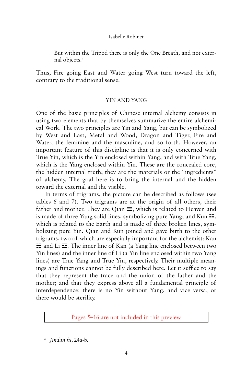### Isabelle Robinet

But within the Tripod there is only the One Breath, and not external objects.4

Thus, Fire going East and Water going West turn toward the left, contrary to the traditional sense.

### YIN AND YANG

One of the basic principles of Chinese internal alchemy consists in using two elements that by themselves summarize the entire alchemical Work. The two principles are Yin and Yang, but can be symbolized by West and East, Metal and Wood, Dragon and Tiger, Fire and Water, the feminine and the masculine, and so forth. However, an important feature of this discipline is that it is only concerned with True Yin, which is the Yin enclosed within Yang, and with True Yang, which is the Yang enclosed within Yin. These are the concealed core, the hidden internal truth; they are the materials or the "ingredients" of alchemy. The goal here is to bring the internal and the hidden toward the external and the visible.

In terms of trigrams, the picture can be described as follows (see tables 6 and 7). Two trigrams are at the origin of all others, their father and mother. They are Qian  $\equiv$ , which is related to Heaven and is made of three Yang solid lines, symbolizing pure Yang; and Kun  $\Xi$ , which is related to the Earth and is made of three broken lines, symbolizing pure Yin. Qian and Kun joined and gave birth to the other trigrams, two of which are especially important for the alchemist: Kan  $\equiv$  and Li  $\equiv$ . The inner line of Kan (a Yang line enclosed between two Yin lines) and the inner line of Li (a Yin line enclosed within two Yang lines) are True Yang and True Yin, respectively. Their multiple meanings and functions cannot be fully described here. Let it suffice to say that they represent the trace and the union of the father and the mother; and that they express above all a fundamental principle of interdependence: there is no Yin without Yang, and vice versa, or there would be sterility.

Pages 5–16 are not included in this preview

<sup>4</sup> *Jindan fu*, 24a-b.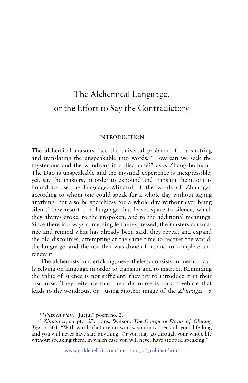## The Alchemical Language, or the Effort to Say the Contradictory

## INTRODUCTION

The alchemical masters face the universal problem of transmitting and translating the unspeakable into words. "How can we seek the mysterious and the wondrous in a discourse?" asks Zhang Boduan.<sup>1</sup> The Dao is unspeakable and the mystical experience is inexpressible; yet, say the masters, in order to expound and transmit them, one is bound to use the language. Mindful of the words of Zhuangzi, according to whom one could speak for a whole day without saying anything, but also be speechless for a whole day without ever being silent,<sup>2</sup> they resort to a language that leaves space to silence, which they always evoke, to the unspoken, and to the additional meanings. Since there is always something left unexpressed, the masters summarize and remind what has already been said, they repeat and expand the old discourses, attempting at the same time to recover the world, the language, and the use that was done of it, and to complete and renew it.

The alchemists' undertaking, nevertheless, consists in methodically relying on language in order to transmit and to instruct. Reminding the value of silence is not sufficient: they try to introduce it in their discourse. They reiterate that their discourse is only a vehicle that leads to the wondrous, or—using another image of the *Zhuangzi*—a

<sup>1</sup> *Wuzhen pian*, "Jueju," poem no. 2.

<sup>2</sup> *Zhuangzi*, chapter 27; trans. Watson, *The Complete Works of Chuang Tzu*, p. 304: "With words that are no-words, you may speak all your life long and you will never have said anything. Or you may go through your whole life without speaking them, in which case you will never have stopped speaking."

www.goldenelixir.com/press/tao\_02\_robinet.html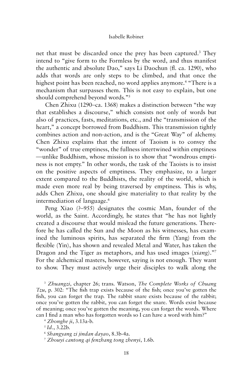### Isabelle Robinet

net that must be discarded once the prey has been captured.3 They intend to "give form to the Formless by the word, and thus manifest the authentic and absolute Dao," says Li Daochun (fl. ca. 1290), who adds that words are only steps to be climbed, and that once the highest point has been reached, no word applies anymore.4 "There is a mechanism that surpasses them. This is not easy to explain, but one should comprehend beyond words."5

Chen Zhixu (1290–ca. 1368) makes a distinction between "the way that establishes a discourse," which consists not only of words but also of practices, fasts, meditations, etc., and the "transmission of the heart," a concept borrowed from Buddhism. This transmission tightly combines action and non-action, and is the "Great Way" of alchemy. Chen Zhixu explains that the intent of Taoism is to convey the "wonder" of true emptiness, the fullness intertwined within emptiness —unlike Buddhism, whose mission is to show that "wondrous emptiness is not empty." In other words, the task of the Taoists is to insist on the positive aspects of emptiness. They emphasize, to a larger extent compared to the Buddhists, the reality of the world, which is made even more real by being traversed by emptiness. This is why, adds Chen Zhixu, one should give materiality to that reality by the intermediation of language.<sup>6</sup>

Peng Xiao (?–955) designates the cosmic Man, founder of the world, as the Saint. Accordingly, he states that "he has not lightly created a discourse that would mislead the future generations. Therefore he has called the Sun and the Moon as his witnesses, has examined the luminous spirits, has separated the firm (Yang) from the flexible (Yin), has shown and revealed Metal and Water, has taken the Dragon and the Tiger as metaphors, and has used images (*xiang*)."7 For the alchemical masters, however, saying is not enough. They want to show. They must actively urge their disciples to walk along the

<sup>3</sup> *Zhuangzi*, chapter 26; trans. Watson, *The Complete Works of Chuang Tzu*, p. 302: "The fish trap exists because of the fish; once you've gotten the fish, you can forget the trap. The rabbit snare exists because of the rabbit; once you've gotten the rabbit, you can forget the snare. Words exist because of meaning; once you've gotten the meaning, you can forget the words. Where can I find a man who has forgotten words so I can have a word with him?"

<sup>4</sup> *Zhonghe ji*, 3.13a-b.

<sup>5</sup> *Id.*, 3.22b.

<sup>6</sup> *Shangyang zi jindan dayao*, 8.3b-4a.

<sup>7</sup> *Zhouyi cantong qi fenzhang tong zhenyi*, 1.6b.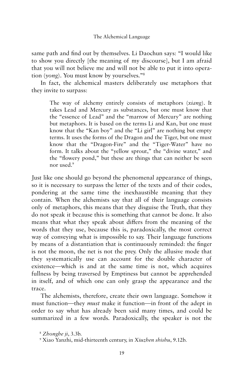same path and find out by themselves. Li Daochun says: "I would like to show you directly [the meaning of my discourse], but I am afraid that you will not believe me and will not be able to put it into operation (*yong*). You must know by yourselves."8

In fact, the alchemical masters deliberately use metaphors that they invite to surpass:

The way of alchemy entirely consists of metaphors (*xiang*). It takes Lead and Mercury as substances, but one must know that the "essence of Lead" and the "marrow of Mercury" are nothing but metaphors. It is based on the terms Li and Kan, but one must know that the "Kan boy" and the "Li girl" are nothing but empty terms. It uses the forms of the Dragon and the Tiger, but one must know that the "Dragon-Fire" and the "Tiger-Water" have no form. It talks about the "yellow sprout," the "divine water," and the "flowery pond," but these are things that can neither be seen nor used.9

Just like one should go beyond the phenomenal appearance of things, so it is necessary to surpass the letter of the texts and of their codes, pondering at the same time the inexhaustible meaning that they contain. When the alchemists say that all of their language consists only of metaphors, this means that they disguise the Truth, that they do not speak it because this is something that cannot be done. It also means that what they speak about differs from the meaning of the words that they use, because this is, paradoxically, the most correct way of conveying what is impossible to say. Their language functions by means of a distantiation that is continuously reminded: the finger is not the moon, the net is not the prey. Only the allusive mode that they systematically use can account for the double character of existence—which is and at the same time is not, which acquires fullness by being traversed by Emptiness but cannot be apprehended in itself, and of which one can only grasp the appearance and the trace.

The alchemists, therefore, create their own language. Somehow it must function—they *must* make it function—in front of the adept in order to say what has already been said many times, and could be summarized in a few words. Paradoxically, the speaker is not the

<sup>8</sup> *Zhonghe ji*, 3.3b.

<sup>9</sup> Xiao Yanzhi, mid-thirteenth century, in *Xiuzhen shishu*, 9.12b.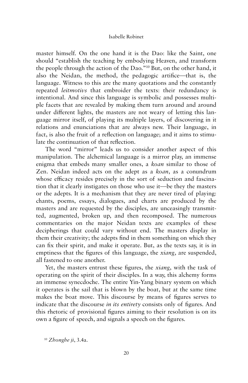### Isabelle Robinet

master himself. On the one hand it is the Dao: like the Saint, one should "establish the teaching by embodying Heaven, and transform the people through the action of the Dao."10 But, on the other hand, it also the Neidan, the method, the pedagogic artifice—that is, the language. Witness to this are the many quotations and the constantly repeated *leitmotivs* that embroider the texts: their redundancy is intentional. And since this language is symbolic and possesses multiple facets that are revealed by making them turn around and around under different lights, the masters are not weary of letting this language mirror itself, of playing its multiple layers, of discovering in it relations and enunciations that are always new. Their language, in fact, is also the fruit of a reflection on language; and it aims to stimulate the continuation of that reflection.

The word "mirror" leads us to consider another aspect of this manipulation. The alchemical language is a mirror play, an immense enigma that embeds many smaller ones, a *koan* similar to those of Zen. Neidan indeed acts on the adept as a *koan*, as a conundrum whose efficacy resides precisely in the sort of seduction and fascination that it clearly instigates on those who use it—be they the masters or the adepts. It is a mechanism that they are never tired of playing: chants, poems, essays, dialogues, and charts are produced by the masters and are requested by the disciples, are unceasingly transmitted, augmented, broken up, and then recomposed. The numerous commentaries on the major Neidan texts are examples of these decipherings that could vary without end. The masters display in them their creativity; the adepts find in them something on which they can fix their spirit, and make it operate. But, as the texts say, it is in emptiness that the figures of this language, the *xiang*, are suspended, all fastened to one another.

Yet, the masters entrust these figures, the *xiang*, with the task of operating on the spirit of their disciples. In a way, this alchemy forms an immense synecdoche. The entire Yin-Yang binary system on which it operates is the sail that is blown by the boat, but at the same time makes the boat move. This discourse by means of figures serves to indicate that the discourse *in its entirety* consists only of figures. And this rhetoric of provisional figures aiming to their resolution is on its own a figure of speech, and signals a speech on the figures.

<sup>10</sup> *Zhonghe ji*, 3.4a.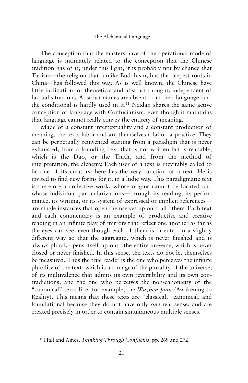#### The Alchemical Language

The conception that the masters have of the operational mode of language is intimately related to the conception that the Chinese tradition has of it; under this light, it is probably not by chance that Taoism—the religion that, unlike Buddhism, has the deepest roots in China—has followed this way. As is well known, the Chinese have little inclination for theoretical and abstract thought, independent of factual situations. Abstract names are absent from their language, and the conditional is hardly used in it.<sup>11</sup> Neidan shares the same active conception of language with Confucianism, even though it maintains that language cannot really convey the entirety of meaning.

Made of a constant intertextuality and a constant production of meaning, the texts labor and are themselves a labor, a practice. They can be perpetually reinvented starting from a paradigm that is never exhausted, from a founding Text that is not written but is readable, which is the Dao, or the Truth, and from the method of interpretation, the alchemy. Each user of a text is inevitably called to be one of its creators: here lies the very function of a text. He is invited to find new forms for it, in a ludic way. This paradigmatic text is therefore a collective work, whose origins cannot be located and whose individual particularizations—through its reading, its performance, its writing, or its system of expressed or implicit references are single instances that open themselves up onto all others. Each text and each commentary is an example of productive and creative reading in an infinite play of mirrors that reflect one another as far as the eyes can see, even though each of them is oriented in a slightly different way so that the aggregate, which is never finished and is always plural, opens itself up onto the entire universe, which is never closed or never finished. In this sense, the texts do not let themselves be measured. Thus the true reader is the one who perceives the infinite plurality of the text, which is an image of the plurality of the universe, of its multivalence that admits its own reversibility and its own contradictions; and the one who perceives the non-canonicity of the "canonical" texts like, for example, the *Wuzhen pian* (Awakening to Reality). This means that these texts are "classical," canonical, and foundational because they do not have only *one* real sense, and are created precisely in order to contain simultaneous multiple senses.

<sup>11</sup> Hall and Ames, *Thinking Through Confucius*, pp. 269 and 272.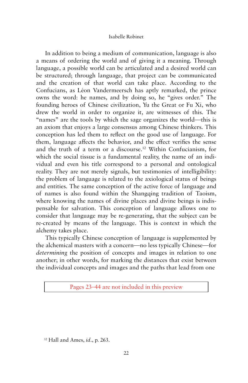## Isabelle Robinet

In addition to being a medium of communication, language is also a means of ordering the world and of giving it a meaning. Through language, a possible world can be articulated and a desired world can be structured; through language, that project can be communicated and the creation of that world can take place. According to the Confucians, as Léon Vandermeersch has aptly remarked, the prince owns the word: he names, and by doing so, he "gives order." The founding heroes of Chinese civilization, Yu the Great or Fu Xi, who drew the world in order to organize it, are witnesses of this. The "names" are the tools by which the sage organizes the world—this is an axiom that enjoys a large consensus among Chinese thinkers. This conception has led them to reflect on the good use of language. For them, language affects the behavior, and the effect verifies the sense and the truth of a term or a discourse.12 Within Confucianism, for which the social tissue is a fundamental reality, the name of an individual and even his title correspond to a personal and ontological reality. They are not merely signals, but testimonies of intelligibility: the problem of language is related to the axiological status of beings and entities. The same conception of the active force of language and of names is also found within the Shangqing tradition of Taoism, where knowing the names of divine places and divine beings is indispensable for salvation. This conception of language allows one to consider that language may be re-generating, that the subject can be re-created by means of the language. This is context in which the alchemy takes place.

This typically Chinese conception of language is supplemented by the alchemical masters with a concern—no less typically Chinese—for *determining* the position of concepts and images in relation to one another; in other words, for marking the distances that exist between the individual concepts and images and the paths that lead from one

Pages 23–44 are not included in this preview

12 Hall and Ames, *id*., p. 263.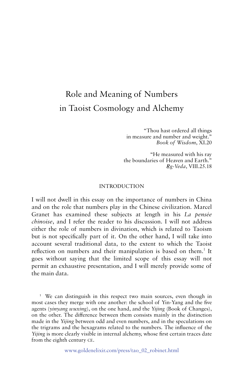## Role and Meaning of Numbers in Taoist Cosmology and Alchemy

"Thou hast ordered all things in measure and number and weight." *Book of Wisdom*, XI.20

"He measured with his ray the boundaries of Heaven and Earth." *Ṛg-Veda*, VIII.25.18

### INTRODUCTION

I will not dwell in this essay on the importance of numbers in China and on the role that numbers play in the Chinese civilization. Marcel Granet has examined these subjects at length in his *La pensée chinoise*, and I refer the reader to his discussion. I will not address either the role of numbers in divination, which is related to Taoism but is not specifically part of it. On the other hand, I will take into account several traditional data, to the extent to which the Taoist reflection on numbers and their manipulation is based on them.<sup>1</sup> It goes without saying that the limited scope of this essay will not permit an exhaustive presentation, and I will merely provide some of the main data.

<sup>1</sup> We can distinguish in this respect two main sources, even though in most cases they merge with one another: the school of Yin-Yang and the five agents (*yinyang wuxing*), on the one hand, and the *Yijing* (Book of Changes), on the other. The difference between them consists mainly in the distinction made in the *Yijing* between odd and even numbers, and in the speculations on the trigrams and the hexagrams related to the numbers. The influence of the *Yijing* is more clearly visible in internal alchemy, whose first certain traces date from the eighth century CE.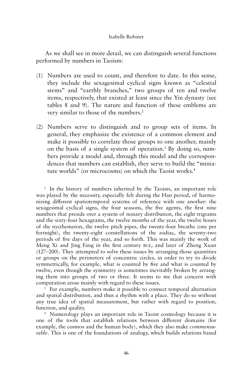### Isabelle Robinet

As we shall see in more detail, we can distinguish several functions performed by numbers in Taoism:

- (1) Numbers are used to count, and therefore to date. In this sense, they include the sexagesimal cyclical signs known as "celestial stems" and "earthly branches," two groups of ten and twelve items, respectively, that existed at least since the Yin dynasty (see tables 8 and 9). The nature and function of these emblems are very similar to those of the numbers.<sup>2</sup>
- (2) Numbers serve to distinguish and to group sets of items. In general, they emphasize the existence of a common element and make it possible to correlate those groups to one another, mainly on the basis of a single system of operation.<sup>3</sup> By doing so, numbers provide a model and, through this model and the correspondences that numbers can establish, they serve to build the "miniature worlds" (or microcosms) on which the Taoist works.<sup>4</sup>

<sup>2</sup> In the history of numbers inherited by the Taoists, an important role was played by the necessity, especially felt during the Han period, of harmonizing different spatiotemporal systems of reference with one another: the sexagesimal cyclical signs, the four seasons, the five agents, the first nine numbers that preside over a system of nonary distribution, the eight trigrams and the sixty-four hexagrams, the twelve months of the year, the twelve hours of the nycthemeron, the twelve pitch pipes, the twenty-four breaths (one per fortnight), the twenty-eight constellations of the zodiac, the seventy-two periods of five days of the year, and so forth. This was mainly the work of Meng Xi and Jing Fang in the first century BCE, and later of Zheng Xuan (127–200). They attempted to solve these issues by arranging those quantities or groups on the perimeters of concentric circles, in order to try to divide symmetrically, for example, what is counted by five and what is counted by twelve, even though the symmetry is sometimes inevitably broken by arranging them into groups of two or three. It seems to me that concern with computation arose mainly with regard to these issues.

<sup>3</sup> For example, numbers make it possible to connect temporal alternation and spatial distribution, and thus a rhythm with a place. They do so without any true idea of spatial measurement, but rather with regard to position, function, and quality.

<sup>4</sup> Numerology plays an important role in Taoist cosmology because it is one of the tools that establish relations between different domains (for example, the cosmos and the human body), which they also make *commensurable*. This is one of the foundations of analogy, which builds relations based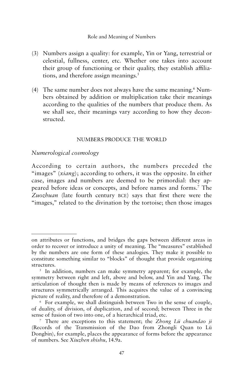#### Role and Meaning of Numbers

- (3) Numbers assign a quality: for example, Yin or Yang, terrestrial or celestial, fullness, center, etc. Whether one takes into account their group of functioning or their quality, they establish affiliations, and therefore assign meanings. $5$
- (4) The same number does not always have the same meaning.<sup>6</sup> Numbers obtained by addition or multiplication take their meanings according to the qualities of the numbers that produce them. As we shall see, their meanings vary according to how they deconstructed.

## NUMBERS PRODUCE THE WORLD

## *Numerological cosmology*

According to certain authors, the numbers preceded the "images" (*xiang*); according to others, it was the opposite. In either case, images and numbers are deemed to be primordial: they appeared before ideas or concepts, and before names and forms.7 The *Zuozhuan* (late fourth century BCE) says that first there were the "images," related to the divination by the tortoise; then those images

on attributes or functions, and bridges the gaps between different areas in order to recover or introduce a unity of meaning. The "measures" established by the numbers are one form of these analogies. They make it possible to constitute something similar to "blocks" of thought that provide organizing structures.

<sup>&</sup>lt;sup>5</sup> In addition, numbers can make symmetry apparent; for example, the symmetry between right and left, above and below, and Yin and Yang. The articulation of thought then is made by means of references to images and structures symmetrically arranged. This acquires the value of a convincing picture of reality, and therefore of a demonstration.

<sup>6</sup> For example, we shall distinguish between Two in the sense of couple, of duality, of division, of duplication, and of second; between Three in the sense of fusion of two into one, of a hierarchical triad, etc.

<sup>7</sup> There are exceptions to this statement; the *Zhong Lü chuandao ji* (Records of the Transmission of the Dao from Zhongli Quan to Lü Dongbin), for example, places the appearance of forms before the appearance of numbers. See *Xiuzhen shishu*, 14.9a.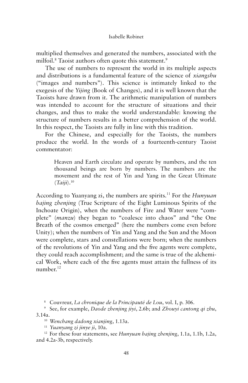multiplied themselves and generated the numbers, associated with the milfoil.<sup>8</sup> Taoist authors often quote this statement.<sup>9</sup>

The use of numbers to represent the world in its multiple aspects and distributions is a fundamental feature of the science of *xiangshu* ("images and numbers"). This science is intimately linked to the exegesis of the *Yijing* (Book of Changes), and it is well known that the Taoists have drawn from it. The arithmetic manipulation of numbers was intended to account for the structure of situations and their changes, and thus to make the world understandable: knowing the structure of numbers results in a better comprehension of the world. In this respect, the Taoists are fully in line with this tradition.

For the Chinese, and especially for the Taoists, the numbers produce the world. In the words of a fourteenth-century Taoist commentator:

Heaven and Earth circulate and operate by numbers, and the ten thousand beings are born by numbers. The numbers are the movement and the rest of Yin and Yang in the Great Ultimate  $(Taiii).<sup>10</sup>$ 

According to Yuanyang zi, the numbers are spirits.<sup>11</sup> For the *Hunyuan bajing zhenjing* (True Scripture of the Eight Luminous Spirits of the Inchoate Origin), when the numbers of Fire and Water were "complete" (*manzu*) they began to "coalesce into chaos" and "the One Breath of the cosmos emerged" (here the numbers come even before Unity); when the numbers of Yin and Yang and the Sun and the Moon were complete, stars and constellations were born; when the numbers of the revolutions of Yin and Yang and the five agents were complete, they could reach accomplishment; and the same is true of the alchemical Work, where each of the five agents must attain the fullness of its number.<sup>12</sup>

<sup>8</sup> Couvreur, *La chronique de la Principauté de Lou*, vol. I, p. 306.

<sup>9</sup> See, for example, *Daode zhenjing jiyi*, 2.6b; and *Zhouyi cantong qi zhu*, 3.14a.

<sup>10</sup> *Wenchang dadong xianjing*, 1.13a.

<sup>11</sup> *Yuanyang zi jinye ji*, 10a.

<sup>12</sup> For these four statements, see *Hunyuan bajing zhenjing*, 1.1a, 1.1b, 1.2a, and 4.2a-3b, respectively.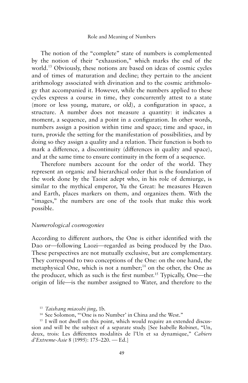The notion of the "complete" state of numbers is complemented by the notion of their "exhaustion," which marks the end of the world.<sup>13</sup> Obviously, these notions are based on ideas of cosmic cycles and of times of maturation and decline; they pertain to the ancient arithmology associated with divination and to the cosmic arithmology that accompanied it. However, while the numbers applied to these cycles express a course in time, they concurrently attest to a state (more or less young, mature, or old), a configuration in space, a structure. A number does not measure a quantity: it indicates a moment, a sequence, and a point in a configuration. In other words, numbers assign a position within time and space; time and space, in turn, provide the setting for the manifestation of possibilities, and by doing so they assign a quality and a relation. Their function is both to mark a difference, a discontinuity (differences in quality and space), and at the same time to ensure continuity in the form of a sequence.

Therefore numbers account for the order of the world. They represent an organic and hierarchical order that is the foundation of the work done by the Taoist adept who, in his role of demiurge, is similar to the mythical emperor, Yu the Great: he measures Heaven and Earth, places markers on them, and organizes them. With the "images," the numbers are one of the tools that make this work possible.

## *Numerological cosmogonies*

According to different authors, the One is either identified with the Dao or—following Laozi—regarded as being produced by the Dao. These perspectives are not mutually exclusive, but are complementary. They correspond to two conceptions of the One: on the one hand, the metaphysical One, which is not a number; $14$  on the other, the One as the producer, which as such is the first number.15 Typically, One—the origin of life—is the number assigned to Water, and therefore to the

<sup>13</sup> *Taishang miaoshi jing*, 1b.

<sup>14</sup> See Solomon, "'One is no Number' in China and the West."

<sup>&</sup>lt;sup>15</sup> I will not dwell on this point, which would require an extended discussion and will be the subject of a separate study. [See Isabelle Robinet, "Un, deux, trois: Les différentes modalités de l'Un et sa dynamique," *Cahiers d'Extreme-Asie* 8 (1995): 175–220. — Ed.]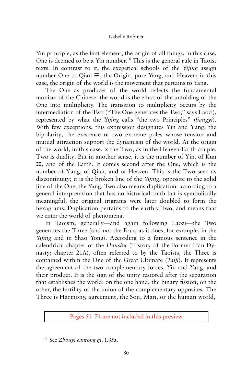## Isabelle Robinet

Yin principle, as the first element, the origin of all things; in this case, One is deemed to be a Yin number.<sup>16</sup> This is the general rule in Taoist texts. In contrast to it, the exegetical schools of the *Yijing* assign number One to Qian  $\equiv$ , the Origin, pure Yang, and Heaven; in this case, the origin of the world is the movement that pertains to Yang.

The One as producer of the world reflects the fundamental monism of the Chinese: the world is the effect of the unfolding of the One into multiplicity. The transition to multiplicity occurs by the intermediation of the Two ("The One generates the Two," says Laozi), represented by what the *Yijing* calls "the two Principles" (*liangyi*). With few exceptions, this expression designates Yin and Yang, the bipolarity, the existence of two extreme poles whose tension and mutual attraction support the dynamism of the world. At the origin of the world, in this case, is the Two, as in the Heaven-Earth couple. Two is duality. But in another sense, it is the number of Yin, of Kun EE, and of the Earth. It comes second after the One, which is the number of Yang, of Qian, and of Heaven. This is the Two seen as discontinuity; it is the broken line of the *Yijing*, opposite to the solid line of the One, the Yang. Two also means duplication: according to a general interpretation that has no historical truth but is symbolically meaningful, the original trigrams were later doubled to form the hexagrams. Duplication pertains to the earthly Two, and means that we enter the world of phenomena.

In Taoism, generally—and again following Laozi—the Two generates the Three (and not the Four, as it does, for example, in the *Yijing* and in Shao Yong). According to a famous sentence in the calendrical chapter of the *Hanshu* (History of the Former Han Dynasty; chapter 21A), often referred to by the Taoists, the Three is contained within the One of the Great Ultimate (*Taiji*). It represents the agreement of the two complementary forces, Yin and Yang, and their product. It is the sign of the unity restored after the separation that establishes the world: on the one hand, the binary fission; on the other, the fertility of the union of the complementary opposites. The Three is Harmony, agreement, the Son, Man, or the human world,

Pages 51–74 are not included in this preview

<sup>16</sup> See *Zhouyi cantong qi*, 1.35a.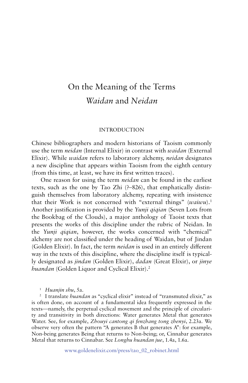## On the Meaning of the Terms *Waidan* and *Neidan*

## INTRODUCTION

Chinese bibliographers and modern historians of Taoism commonly use the term *neidan* (Internal Elixir) in contrast with *waidan* (External Elixir). While *waidan* refers to laboratory alchemy, *neidan* designates a new discipline that appears within Taoism from the eighth century (from this time, at least, we have its first written traces).

One reason for using the term *neidan* can be found in the earliest texts, such as the one by Tao Zhi  $(}-826)$ , that emphatically distinguish themselves from laboratory alchemy, repeating with insistence that their Work is not concerned with "external things" (*waiwu*).<sup>1</sup> Another justification is provided by the *Yunji qiqian* (Seven Lots from the Bookbag of the Clouds), a major anthology of Taoist texts that presents the works of this discipline under the rubric of Neidan. In the *Yunji qiqian*, however, the works concerned with "chemical" alchemy are not classified under the heading of Waidan, but of Jindan (Golden Elixir). In fact, the term *neidan* is used in an entirely different way in the texts of this discipline, where the discipline itself is typically designated as *jindan* (Golden Elixir), *dadan* (Great Elixir), or *jinye huandan* (Golden Liquor and Cyclical Elixir).2

<sup>1</sup> *Huanjin shu*, 5a.

<sup>2</sup> I translate *huandan* as "cyclical elixir" instead of "transmuted elixir," as is often done, on account of a fundamental idea frequently expressed in the texts—namely, the perpetual cyclical movement and the principle of circularity and transitivity in both directions: Water generates Metal that generates Water. See, for example, *Zhouyi cantong qi fenzhang tong zhenyi*, 2.23a. We observe very often the pattern "A generates B that generates A": for example, Non-being generates Being that returns to Non-being; or, Cinnabar generates Metal that returns to Cinnabar. See *Longhu huandan jue*, 1.4a, 1.6a.

www.goldenelixir.com/press/tao\_02\_robinet.html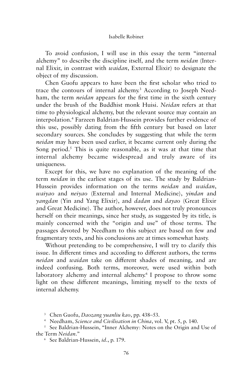### Isabelle Robinet

To avoid confusion, I will use in this essay the term "internal alchemy" to describe the discipline itself, and the term *neidan* (Internal Elixir, in contrast with *waidan*, External Elixir) to designate the object of my discussion.

Chen Guofu appears to have been the first scholar who tried to trace the contours of internal alchemy.<sup>3</sup> According to Joseph Needham, the term *neidan* appears for the first time in the sixth century under the brush of the Buddhist monk Huisi. *Neidan* refers at that time to physiological alchemy, but the relevant source may contain an interpolation.4 Farzeen Baldrian-Hussein provides further evidence of this use, possibly dating from the fifth century but based on later secondary sources. She concludes by suggesting that while the term *neidan* may have been used earlier, it became current only during the Song period.<sup>5</sup> This is quite reasonable, as it was at that time that internal alchemy became widespread and truly aware of its uniqueness.

Except for this, we have no explanation of the meaning of the term *neidan* in the earliest stages of its use. The study by Baldrian-Hussein provides information on the terms *neidan* and *waidan*, *waiyao* and *neiyao* (External and Internal Medicine), *yindan* and *yangdan* (Yin and Yang Elixir), and *dadan* and *dayao* (Great Elixir and Great Medicine). The author, however, does not truly pronounces herself on their meanings, since her study, as suggested by its title, is mainly concerned with the "origin and use" of those terms. The passages devoted by Needham to this subject are based on few and fragmentary texts, and his conclusions are at times somewhat hasty.

Without pretending to be comprehensive, I will try to clarify this issue. In different times and according to different authors, the terms *neidan* and *waidan* take on different shades of meaning, and are indeed confusing. Both terms, moreover, were used within both laboratory alchemy and internal alchemy.6 I propose to throw some light on these different meanings, limiting myself to the texts of internal alchemy.

<sup>3</sup> Chen Guofu, *Daozang yuanliu kao*, pp. 438–53.

<sup>4</sup> Needham, *Science and Civilisation in China*, vol. V, pt. 5, p. 140.

<sup>5</sup> See Baldrian-Hussein, "Inner Alchemy: Notes on the Origin and Use of the Term *Neidan*."

<sup>6</sup> See Baldrian-Hussein, *id*., p. 179.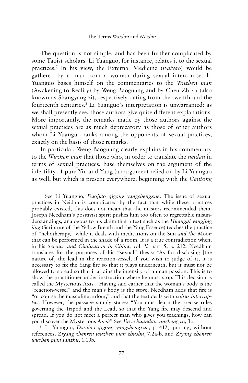The question is not simple, and has been further complicated by some Taoist scholars. Li Yuanguo, for instance, relates it to the sexual practices.7 In his view, the External Medicine (*waiyao*) would be gathered by a man from a woman during sexual intercourse. Li Yuanguo bases himself on the commentaries to the *Wuzhen pian* (Awakening to Reality) by Weng Baoguang and by Chen Zhixu (also known as Shangyang zi), respectively dating from the twelfth and the fourteenth centuries.8 Li Yuanguo's interpretation is unwarranted: as we shall presently see, those authors give quite different explanations. More importantly, the remarks made by those authors against the sexual practices are as much deprecatory as those of other authors whom Li Yuanguo ranks among the opponents of sexual practices, exactly on the basis of those remarks.

In particular, Weng Baoguang clearly explains in his commentary to the *Wuzhen pian* that those who, in order to translate the *neidan* in terms of sexual practices, base themselves on the argument of the infertility of pure Yin and Yang (an argument relied on by Li Yuanguo as well, but which is present everywhere, beginning with the *Cantong* 

<sup>7</sup> See Li Yuanguo, *Daojiao qigong yangshengxue*. The issue of sexual practices in Neidan is complicated by the fact that while these practices probably existed, this does not mean that the masters recommended them. Joseph Needham's positivist spirit pushes him too often to regrettable misunderstandings, analogous to his claim that a text such as the *Huangqi yangjing jing* (Scripture of the Yellow Breath and the Yang Essence) teaches the practice of "heliotherapy," while it deals with meditations on the Sun *and the Moon* that can be performed in the shade of a room. It is a true contradiction when, in his *Science and Civilisation in China*, vol. V, part 5, p. 212, Needham translates for the purposes of his "sexual" thesis: "As for disclosing [the nature of] the lead in the reaction-vessel, if you wish to judge of it, it is necessary to fix the Yang fire so that it plays underneath, but it must not be allowed to spread so that it attains the intensity of human passion. This is to show the practitioner under instruction where he must stop. This decision is called the Mysterious Axis." Having said earlier that the woman's body is the "reaction-vessel" and the man's body is the stove, Needham adds that fire is "of course the masculine ardour," and that the text deals with *coitus interruptus*. However, the passage simply states: "You must learn the precise rules governing the Tripod and the Lead, so that the Yang fire may descend and spread. If you do not meet a perfect man who gives you teachings, how can you discover the Mysterious Axis?" See *Jinye huandan yinzheng tu*, 3b.

<sup>8</sup> Li Yuanguo, *Daojiao qigong yangshengxue*, p. 412, quoting, without references, *Ziyang zhenren wuzhen pian zhushu*, 7.2a-b, and *Ziyang zhenren wuzhen pian sanzhu*, 1.10b.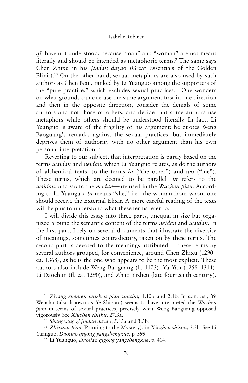### Isabelle Robinet

*qi*) have not understood, because "man" and "woman" are not meant literally and should be intended as metaphoric terms.<sup>9</sup> The same says Chen Zhixu in his *Jindan dayao* (Great Essentials of the Golden Elixir).<sup>10</sup> On the other hand, sexual metaphors are also used by such authors as Chen Nan, ranked by Li Yuanguo among the supporters of the "pure practice," which excludes sexual practices.11 One wonders on what grounds can one use the same argument first in one direction and then in the opposite direction, consider the denials of some authors and not those of others, and decide that some authors use metaphors while others should be understood literally. In fact, Li Yuanguo is aware of the fragility of his argument: he quotes Weng Baoguang's remarks against the sexual practices, but immediately deprives them of authority with no other argument than his own personal interpretation.<sup>12</sup>

Reverting to our subject, that interpretation is partly based on the terms *waidan* and *neidan*, which Li Yuanguo relates, as do the authors of alchemical texts, to the terms *bi* ("the other") and *wo* ("me"). These terms, which are deemed to be parallel—*bi* refers to the *waidan,* and *wo* to the *neidan*—are used in the *Wuzhen pian*. According to Li Yuanguo, *bi* means "she," i.e., the woman from whom one should receive the External Elixir. A more careful reading of the texts will help us to understand what these terms refer to.

I will divide this essay into three parts, unequal in size but organized around the semantic content of the terms *neidan* and *waidan*. In the first part, I rely on several documents that illustrate the diversity of meanings, sometimes contradictory, taken on by these terms. The second part is devoted to the meanings attributed to these terms by several authors grouped, for convenience, around Chen Zhixu (1290– ca. 1368), as he is the one who appears to be the most explicit. These authors also include Weng Baoguang (fl. 1173), Yu Yan (1258–1314), Li Daochun (fl. ca. 1290), and Zhao Yizhen (late fourteenth century).

<sup>9</sup> *Ziyang zhenren wuzhen pian zhushu*, 1.10b and 2.1b. In contrast, Ye Wenshu (also known as Ye Shibiao) seems to have interpreted the *Wuzhen pian* in terms of sexual practices, precisely what Weng Baoguang opposed vigorously. See *Xiuzhen shishu*, 27.3a.

<sup>10</sup> *Shangyang zi jindan dayao*, 5.13a and 3.3b.

<sup>11</sup> *Zhixuan pian* (Pointing to the Mystery), in *Xiuzhen shishu*, 3.3b. See Li Yuanguo, *Daojiao qigong yangshengxue*, p. 399.

<sup>12</sup> Li Yuanguo, *Daojiao qigong yangshengxue*, p. 414.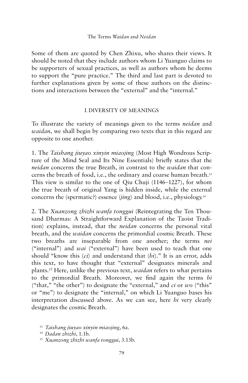### The Terms *Waidan* and *Neidan*

Some of them are quoted by Chen Zhixu, who shares their views. It should be noted that they include authors whom Li Yuanguo claims to be supporters of sexual practices, as well as authors whom he deems to support the "pure practice." The third and last part is devoted to further explanations given by some of these authors on the distinctions and interactions between the "external" and the "internal."

## I. DIVERSITY OF MEANINGS

To illustrate the variety of meanings given to the terms *neidan* and *waidan*, we shall begin by comparing two texts that in this regard are opposite to one another.

1. The *Taishang jiuyao xinyin miaojing* (Most High Wondrous Scripture of the Mind Seal and Its Nine Essentials) briefly states that the *neidan* concerns the true Breath, in contrast to the *waidan* that concerns the breath of food, i.e., the ordinary and coarse human breath.13 This view is similar to the one of Qiu Chuji (1146–1227), for whom the true breath of original Yang is hidden inside, while the external concerns the (spermatic?) essence (*jing*) and blood, i.e., physiology.14

2. The *Xuanzong zhizhi wanfa tonggui* (Reintegrating the Ten Thousand Dharmas: A Straightforward Explanation of the Taoist Tradition) explains, instead, that the *neidan* concerns the personal vital breath, and the *waidan* concerns the primordial cosmic Breath. These two breaths are inseparable from one another; the terms *nei* ("internal") and *wai* ("external") have been used to teach that one should "know this (*ci*) and understand that (*bi*)." It is an error, adds this text, to have thought that "external" designates minerals and plants.15 Here, unlike the previous text, *waidan* refers to what pertains to the primordial Breath. Moreover, we find again the terms *bi* ("that," "the other") to designate the "external," and *ci* or *wo* ("this" or "me") to designate the "internal," on which Li Yuanguo bases his interpretation discussed above. As we can see, here *bi* very clearly designates the cosmic Breath.

<sup>13</sup> *Taishang jiuyao xinyin miaojing*, 6a.

<sup>14</sup> *Dadan zhizhi*, 1.1b.

<sup>15</sup> *Xuanzong zhizhi wanfa tonggui*, 3.13b.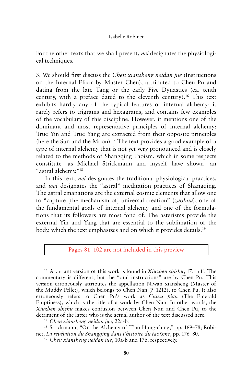### Isabelle Robinet

For the other texts that we shall present, *nei* designates the physiological techniques.

3. We should first discuss the *Chen xiansheng neidan jue* (Instructions on the Internal Elixir by Master Chen), attributed to Chen Pu and dating from the late Tang or the early Five Dynasties (ca. tenth century, with a preface dated to the eleventh century).16 This text exhibits hardly any of the typical features of internal alchemy: it rarely refers to trigrams and hexagrams, and contains few examples of the vocabulary of this discipline. However, it mentions one of the dominant and most representative principles of internal alchemy: True Yin and True Yang are extracted from their opposite principles (here the Sun and the Moon).<sup>17</sup> The text provides a good example of a type of internal alchemy that is not yet very pronounced and is closely related to the methods of Shangqing Taoism, which in some respects constitute—as Michael Strickmann and myself have shown—an "astral alchemy."18

In this text, *nei* designates the traditional physiological practices, and *wai* designates the "astral" meditation practices of Shangqing. The astral emanations are the external cosmic elements that allow one to "capture [the mechanism of] universal creation" (*zaohua*), one of the fundamental goals of internal alchemy and one of the formulations that its followers are most fond of. The asterisms provide the external Yin and Yang that are essential to the sublimation of the body, which the text emphasizes and on which it provides details.<sup>19</sup>

## Pages 81–102 are not included in this preview

<sup>16</sup> A variant version of this work is found in *Xiuzhen shishu*, 17.1b ff. The commentary is different, but the "oral instructions" are by Chen Pu. This version erroneously attributes the appellation Niwan xiansheng (Master of the Muddy Pellet), which belongs to Chen Nan (?–1212), to Chen Pu. It also erroneously refers to Chen Pu's work as *Cuixu pian* (The Emerald Emptiness), which is the title of a work by Chen Nan. In other words, the *Xiuzhen shishu* makes confusion between Chen Nan and Chen Pu, to the detriment of the latter who is the actual author of the text discussed here.

<sup>17</sup> *Chen xiansheng neidan jue*, 22a-b.

<sup>18</sup> Strickmann, "On the Alchemy of T'ao Hung-ching," pp. 169–78; Robinet, *La révélation du Shangqing dans l'histoire du taoïsme*, pp. 176–80.

<sup>19</sup> *Chen xiansheng neidan jue*, 10a-b and 17b, respectively.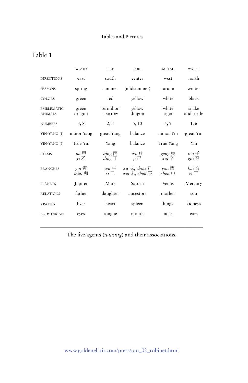## Table 1

| WOOD                       | <b>FIRE</b>                            | SOIL                                                                        | <b>METAL</b>                                     | <b>WATER</b>        |
|----------------------------|----------------------------------------|-----------------------------------------------------------------------------|--------------------------------------------------|---------------------|
| east                       | south                                  | center                                                                      | west                                             | north               |
| spring                     | summer                                 | (midsummer)                                                                 | autumn                                           | winter              |
| green                      | red                                    | yellow                                                                      | white                                            | black               |
| green<br>dragon            | vermilion<br>sparrow                   | yellow<br>dragon                                                            | white<br>tiger                                   | snake<br>and turtle |
| 3, 8                       | 2,7                                    | 5, 10                                                                       | 4, 9                                             | 1,6                 |
| minor Yang<br>YIN-YANG (1) |                                        | balance                                                                     | minor Yin                                        | great Yin           |
| True Yin                   | Yang                                   | balance                                                                     | True Yang                                        | Yin                 |
| jia $\boxplus$<br>vi Z     | bing 丙<br>$\dim_{\mathfrak{A}}$ $\top$ | $wu \times$<br>$ii \sqsupseteq$                                             | geng 庚<br>xin $\cong$                            | ren $\pm$<br>gui 癸  |
| $\gamma$ in 寅<br>mao 卯     | $wu \neq$<br>$si \; \Box$              | хи $\ddot{\mathcal{R}}$ , chou $\pm$<br>wei $\pm$ , chen $\bar{\mathbb{R}}$ | $\gamma$ ou $\overline{\mathbb{E}}$<br>shen $\#$ | hai 亥<br>$zi \pm$   |
| Jupiter                    | Mars                                   | Saturn                                                                      | Venus                                            | Mercury             |
| father                     | daughter                               | ancestors                                                                   | mother                                           | son                 |
| liver                      | heart                                  | spleen                                                                      | lungs                                            | kidneys             |
| eyes                       | tongue                                 | mouth                                                                       | nose                                             | ears                |
|                            |                                        |                                                                             | great Yang                                       |                     |

—————————————————————————— The five agents (*wuxing*) and their associations.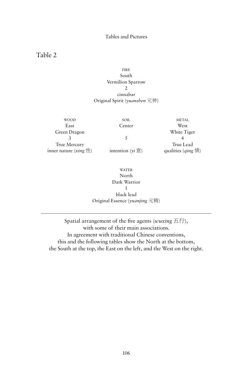## Table 2

## FIRE South Vermilion Sparrow 2 cinnabar Original Spirit (yuanshen 元神)

| <b>SOIL</b>                            | <b>METAL</b>                     |
|----------------------------------------|----------------------------------|
| Center                                 | West                             |
|                                        | White Tiger                      |
|                                        |                                  |
|                                        | True Lead                        |
| intention $(v_i \t\tilde{\mathbb{E}})$ | qualities $(qing   \frac{1}{2})$ |
|                                        |                                  |

WATER North Dark Warrior 1 black lead Original Essence (yuanjing 元精)

Spatial arrangement of the five agents ( $wuxing \ \overline{E} \langle \overline{\tau} \rangle$ ), with some of their main associations. In agreement with traditional Chinese conventions, this and the following tables show the North at the bottom, the South at the top, the East on the left, and the West on the right.

 $\frac{1}{\sqrt{2}}$  , and the contract of the contract of the contract of the contract of the contract of the contract of the contract of the contract of the contract of the contract of the contract of the contract of the contra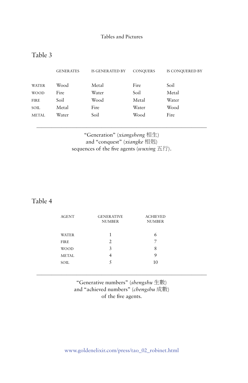## Table 3

|              | <b>GENERATES</b> | <b>IS GENERATED BY</b> | <b>CONQUERS</b> | <b>IS CONQUERED BY</b> |
|--------------|------------------|------------------------|-----------------|------------------------|
| <b>WATER</b> | Wood             | Metal                  | Fire            | Soil                   |
| WOOD         | Fire             | Water                  | Soil            | Metal                  |
| <b>FIRE</b>  | Soil             | Wood                   | Metal           | Water                  |
| SOIL         | Metal            | Fire                   | Water           | Wood                   |
| <b>METAL</b> | Water            | Soil                   | Wood            | Fire                   |

"Generation" (xiangsheng 相生) and "conquest" (xiangke 相剋) sequences of the five agents (*wuxing* 五行).

——————————————————————————————————

## Table 4

| <b>AGENT</b> | <b>GENERATIVE</b><br><b>NUMBER</b> | <b>ACHIEVED</b><br><b>NUMBER</b> |
|--------------|------------------------------------|----------------------------------|
| <b>WATER</b> | 1                                  | 6                                |
| FIRE.        | $\mathfrak{D}$                     | 7                                |
| <b>WOOD</b>  | 3                                  | 8                                |
| <b>METAL</b> | 4                                  | 9                                |
| SOIL         | 5                                  | 10                               |
|              |                                    |                                  |

"Generative numbers" (shengshu 生數) and "achieved numbers" (*chengshu* 成數) of the five agents.

——————————————————————————————————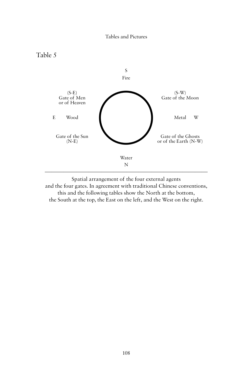



Spatial arrangement of the four external agents and the four gates. In agreement with traditional Chinese conventions, this and the following tables show the North at the bottom, the South at the top, the East on the left, and the West on the right.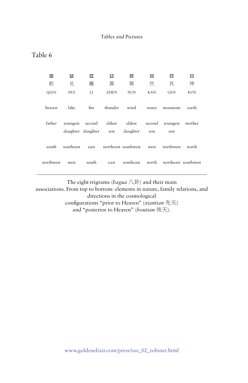## Table 6

| ≡           |           |                   |             |                     |            |                     |            |
|-------------|-----------|-------------------|-------------|---------------------|------------|---------------------|------------|
| 乾           | 兑         | 離                 | 震           | 巽                   | 坎          | 艮                   | 坤          |
| <b>QIAN</b> | DUI       | $_{\text{LI}}$    | <b>ZHEN</b> | <b>XUN</b>          | <b>KAN</b> | <b>GEN</b>          | <b>KUN</b> |
| heaven      | lake      | fire              | thunder     | wind                | water      | mountain            | earth      |
| father      | voungest  | second            | eldest      | eldest              | second     | voungest            | mother     |
|             |           | daughter daughter | son         | daughter            | son        | son                 |            |
| south       | southeast | east              |             | northeast southwest | west       | northwest           | north      |
| northwest   | west      | south             | east        | southeast           | north      | northeast southwest |            |

The eight trigrams (*bagua* 八卦) and their main associations. From top to bottom: elements in nature, family relations, and directions in the cosmological configurations "prior to Heaven" (xiantian 先天) and "posterior to Heaven" (*houtian* 後天).

 $\frac{1}{\sqrt{2}}$  , and the contribution of  $\frac{1}{\sqrt{2}}$  , and  $\frac{1}{\sqrt{2}}$  , and  $\frac{1}{\sqrt{2}}$  , and  $\frac{1}{\sqrt{2}}$  , and  $\frac{1}{\sqrt{2}}$  , and  $\frac{1}{\sqrt{2}}$  , and  $\frac{1}{\sqrt{2}}$  , and  $\frac{1}{\sqrt{2}}$  , and  $\frac{1}{\sqrt{2}}$  , and  $\frac{1}{\sqrt{2}}$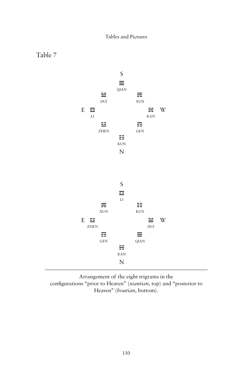



Arrangement of the eight trigrams in the configurations "prior to Heaven" (*xiantian*, top) and "posterior to Heaven" (*houtian*, bottom).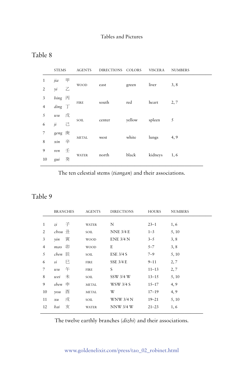| abie |  |
|------|--|
|------|--|

|                | <b>STEMS</b>                 |   | <b>AGENTS</b> | DIRECTIONS COLORS |        | VISCERA | <b>NUMBERS</b> |
|----------------|------------------------------|---|---------------|-------------------|--------|---------|----------------|
| $\mathbf{1}$   | jia                          | 甲 |               | east              | green  | liver   | 3, 8           |
| $\overline{2}$ | $\gamma i$                   | Z | WOOD          |                   |        |         |                |
| 3              | $bin$ <sub><i>R</i></sub> 丙  |   | <b>FIRE</b>   | south             | red    | heart   | 2,7            |
| $\overline{4}$ | $\dim_{\mathfrak{A}}$ $\top$ |   |               |                   |        |         |                |
| 5              | $\iota\nu\iota$              | 戊 | SOIL          | center            | yellow | spleen  | 5              |
| 6              | ii                           | 己 |               |                   |        |         |                |
| 7              | geng 庚                       |   | <b>METAL</b>  | west              | white  | lungs   | 4, 9           |
| 8              | xin                          | 辛 |               |                   |        |         |                |
| 9              | ren                          | 壬 | <b>WATER</b>  | north             | black  | kidneys |                |
| 10             | gui                          | 癸 |               |                   |        |         | 1,6            |
|                |                              |   |               |                   |        |         |                |

The ten celestial stems (*tiangan*) and their associations.

## Table 9

|                | <b>BRANCHES</b>   |   | <b>AGENTS</b> | <b>DIRECTIONS</b> | <b>HOURS</b> | <b>NUMBERS</b> |
|----------------|-------------------|---|---------------|-------------------|--------------|----------------|
|                |                   |   |               |                   |              |                |
| $\mathbf{1}$   | zi                | 子 | <b>WATER</b>  | N                 | $23 - 1$     | 1, 6           |
| 2              | $_{chou \pm}$     |   | SOIL          | <b>NNE 3/4 E</b>  | $1 - 3$      | 5, 10          |
| 3              | vin               | 寅 | WOOD          | ENE 3/4 N         | $3 - 5$      | 3, 8           |
| $\overline{4}$ | mao               | 卯 | WOOD          | E                 | $5 - 7$      | 3, 8           |
| 5              | chen $\mathbb{R}$ |   | SOIL          | ESE $3/4$ S       | $7 - 9$      | 5, 10          |
| 6              | si                | E | <b>FIRE</b>   | SSE $3/4E$        | $9 - 11$     | 2,7            |
| 7              | $\iota\nu\iota$   | 午 | <b>FIRE</b>   | S                 | $11 - 13$    | 2,7            |
| 8              | wei               | 未 | SOIL          | SSW 3/4 W         | $13 - 15$    | 5, 10          |
| 9              | shen              | 申 | <b>METAL</b>  | $WSW$ 3/4 S       | $15 - 17$    | 4, 9           |
| 10             | $\gamma$ ou       | 酉 | METAL         | W                 | $17 - 19$    | 4, 9           |
| 11             | xu                | 戌 | SOIL          | <b>WNW 3/4 N</b>  | $19 - 21$    | 5, 10          |
| 12             | hai               | 亥 | <b>WATER</b>  | NNW 3/4 W         | $21 - 23$    | 1,6            |
|                |                   |   |               |                   |              |                |

The twelve earthly branches (*dizhi*) and their associations.

www.goldenelixir.com/press/tao\_02\_robinet.html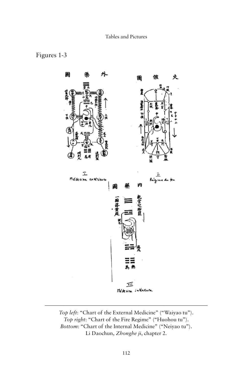## Figures 1-3



*Top left*: "Chart of the External Medicine" ("Waiyao tu"). *Top right*: "Chart of the Fire Regime" ("Huohou tu"). *Bottom*: "Chart of the Internal Medicine" ("Neiyao tu"). Li Daochun, *Zhonghe ji*, chapter 2.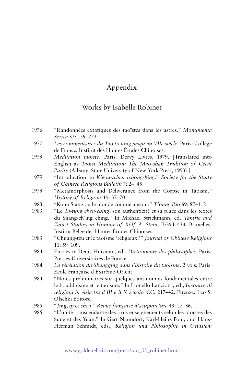## Appendix

## Works by Isabelle Robinet

- 1976 "Randonnées extatiques des taoïstes dans les astres." *Monumenta Serica* 32: 159–273.
- 1977 *Les commentaires du Tao tö king jusqu'au VIIe siècle*. Paris: Collège de France, Institut des Hautes Études Chinoises.
- 1979 *Méditation taoïste*. Paris: Dervy Livres, 1979. [Translated into English as *Taoist Meditation: The Mao-shan Tradition of Great Purity* (Albany: State University of New York Press, 1993).]
- 1979 "Introduction au *Kieou-tchen tchong-king*." *Society for the Study of Chinese Religions Bulletin* 7: 24–45.
- 1979 "Metamorphosis and Deliverance from the Corpse in Taoism." *History of Religions* 19: 37–70.
- 1983 "Kouo Siang ou le monde comme absolu." *T'oung Pao* 69: 87–112.
- 1983 "Le *Ta-tung chen-ching*; son authenticité et sa place dans les textes du Shang-ch'ing ching." In Michael Strickmann, ed. *Tantric and Taoist Studies in Honour of Rolf A. Stein*, II:394–433. Bruxelles: Institut Belge des Hautes Études Chinoises.
- 1983 "Chuang-tzu et le taoïsme 'religieux.'" *Journal of Chinese Religions* 11: 59–109.
- 1984 Entries in Denis Huisman, ed., *Dictionnaire des philosophes*. Paris: Presses Universitaires de France.
- 1984 *La révélation du Shangqing dans l'histoire du taoïsme*. 2 vols. Paris: École Française d'Extrême-Orient.
- 1984 "Notes préliminaires sur quelques antinomies fondamentales entre le bouddhisme et le taoïsme." In Lionello Lanciotti, ed., *Incontro di religioni in Asia tra il III e il X secolo d.C*, 217–42. Firenze: Leo S. Olschki Editore.
- 1985 "*Jing*, *qi* et *shen*." *Revue française d'acupuncture* 43: 27–36.
- 1985 "L'unité transcendante des trois enseignements selon les taoïstes des Sung et des Yüan." In Gert Naundorf, Karl-Heinz Pohl, and Hans-Herman Schmidt, eds., *Religion und Philosophie in Ostasien:*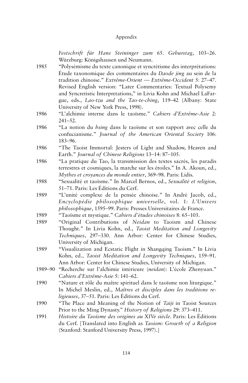#### Appendix

*Festschrift für Hans Steininger zum 65. Geburstag*, 103–26. Würzburg: Königshausen und Neumann.

- 1985 "Polysémisme du texte canonique et syncrétisme des interprétations: Étude taxonomique des commentaires du *Daode jing* au sein de la tradition chinoise." *Extrême-Orient — Extrême-Occident* 5: 27–47. Revised English version: "Later Commentaries: Textual Polysemy and Syncretistic Interpretations," in Livia Kohn and Michael LaFargue, eds., *Lao-tzu and the Tao-te-ching*, 119–42 (Albany: State University of New York Press, 1998).
- 1986 "L'alchimie interne dans le taoïsme." *Cahiers d'Extrême-Asie* 2: 241–52.
- 1986 "La notion du *hsing* dans le taoïsme et son rapport avec celle du confucianisme." *Journal of the American Oriental Society* 106: 183–96.
- 1986 "The Taoist Immortal: Jesters of Light and Shadow, Heaven and Earth." *Journal of Chinese Religions* 13–14: 87–105.
- 1986 "La pratique du Tao, la transmission des textes sacrés, les paradis terrestres et cosmiques, la marche sur les étoiles." In A. Akoun, ed., *Mythes et croyances du monde entier*, 369–98. Paris: Lidis.
- 1988 "Sexualité et taoïsme." In Marcel Bernos, ed., *Sexualité et religion*, 51–71. Paris: Les Éditions du Cerf.
- 1989 "L'unité complexe de la pensée chinoise." In André Jacob, ed., *Encyclopédie philosophique universelle*, vol. 1: *L'Univers philosophique*, 1595–99. Paris: Presses Universitaires de France.
- 1989 "Taoïsme et mystique." *Cahiers d'études chinoises* 8: 65–103.
- 1989 "Original Contributions of *Neidan* to Taoism and Chinese Thought." In Livia Kohn, ed., *Taoist Meditation and Longevity Techniques*, 297–330. Ann Arbor: Center for Chinese Studies, University of Michigan.
- 1989 "Visualization and Ecstatic Flight in Shangqing Taoism." In Livia Kohn, ed., *Taoist Meditation and Longevity Techniques*, 159–91. Ann Arbor: Center for Chinese Studies, University of Michigan.
- 1989–90 "Recherche sur l'alchimie intérieure (*neidan*): L'école Zhenyuan." *Cahiers d'Extrême-Asie* 5: 141–62.
- 1990 "Nature et rôle du maître spirituel dans le taoïsme non liturgique." In Michel Meslin, ed., *Maîtres et disciples dans les traditions religieuses*, 37–51. Paris: Les Éditions du Cerf.
- 1990 "The Place and Meaning of the Notion of *Taiji* in Taoist Sources Prior to the Ming Dynasty." *History of Religions* 29: 373–411.
- 1991 *Histoire du Taoïsme des origines au XIVe siècle*. Paris: Les Éditions du Cerf. [Translated into English as *Taoism: Growth of a Religion* (Stanford: Stanford University Press, 1997).]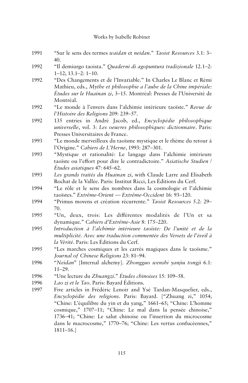#### Works by Isabelle Robinet

- 1991 "Sur le sens des termes *waidan* et *neidan*." *Taoist Resources* 3.1: 3– 40.
- 1992 "Il demiurgo taoista." *Quaderni di agopuntura tradizionale* 12.1–2: 1–12; 13.1–2: 1–10.
- 1992 "Des Changements et de l'Invariable." In Charles Le Blanc et Rémi Mathieu, eds., *Mythe et philosophie a l'aube de la Chine impériale: Études sur le Huainan zi*, 3–15. Montréal: Presses de l'Université de Montréal.
- 1992 "Le monde à l'envers dans l'alchimie intérieure taoïste." *Revue de l'Histoire des Religions* 209: 239–57.
- 1992 135 entries in André Jacob, ed., *Encyclopédie philosophique universelle*, vol. 3: *Les oeuvres philosophiques: dictionnaire*. Paris: Presses Universitaires de France.
- 1993 "Le monde merveilleux du taoïsme mystique et le thème du retour à l'Origine." *Cahiers de L'Herne*, 1993: 287–301.
- 1993 "Mystique et rationalité: Le langage dans l'alchimie intérieure taoïste ou l'effort pour dire le contradictoire." *Asiatische Studien / Études asiatiques* 47: 645–62.
- 1993 *Les grands traités du Huainan zi*, with Claude Larre and Elisabeth Rochat de la Vallée. Paris: Institut Ricci, Les Éditions du Cerf.
- 1994 "Le rôle et le sens des nombres dans la cosmologie et l'alchimie taoïstes." *Extrême-Orient — Extrême-Occident* 16: 93–120.
- 1994 "Primus movens et création récurrente." *Taoist Resources* 5.2: 29– 70.
- 1995 "Un, deux, trois: Les différentes modalités de l'Un et sa dynamique." *Cahiers d'Extrême-Asie* 8: 175–220.
- 1995 *Introduction à l'alchimie intérieure taoïste: De l'unité et de la multiplicité. Avec une traduction commentée des Versets de l'éveil à la Vérité*. Paris: Les Éditions du Cerf.
- 1995 "Les marches cosmiques et les carrés magiques dans le taoïsme." *Journal of Chinese Religions* 23: 81–94.
- 1996 "*Neidan*" [Internal alchemy]. *Zhongguo wenshi yanjiu tongji* 6.1: 11–29.
- 1996 "Une lecture du *Zhuangzi*." *Études chinoises* 15: 109–58.
- 1996 *Lao zi et le Tao*. Paris: Bayard Éditions.
- 1997 Five articles in Frédéric Lenoir and Ysé Tardan-Masquelier, eds., *Encyclopédie des religions*. Paris: Bayard. ["Zhuang zi," 1054; "Chine: L'équilibre du yin et du yang," 1661–65; "Chine: L'homme cosmique," 1707–11; "Chine: Le mal dans la pensée chinoise," 1736–41; "Chine: Le salut chinoise ou l'insertion du microcosme dans le macrocosme," 1770–76; "Chine: Les vertus confucéennes," 1811–16.]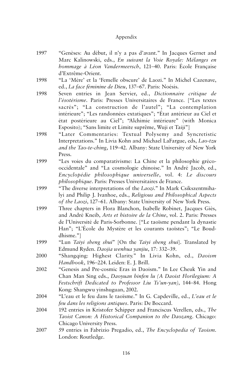#### Appendix

- 1997 "Genèses: Au début, il n'y a pas d'avant." In Jacques Gernet and Marc Kalinowski, eds., *En suivant la Voie Royale: Mélanges en hommage à Léon Vandermeersch*, 121–40. Paris: École Française d'Extrême-Orient.
- 1998 "La 'Mère' et la 'Femelle obscure' de Laozi." In Michel Cazenave, ed., *La face féminine de Dieu*, 137–67. Paris: Noésis.
- 1998 Seven entries in Jean Servier, ed., *Dictionnaire critique de l'ésotérisme*. Paris: Presses Universitaires de France. ["Les textes sacrés"; "La construction de l'autel"; "La contemplation intérieure"; "Les randonnées extatiques"; "État antérieur au Ciel et état postérieure au Ciel"; "Alchimie intérieure" (with Monica Esposito); "Sans limite et Limite suprême, Wuji et Taiji"]
- 1998 "Later Commentaries: Textual Polysemy and Syncretistic Interpretations." In Livia Kohn and Michael LaFargue, eds, *Lao-tzu and the Tao-te-ching*, 119–42. Albany: State University of New York Press.
- 1999 "Les voies du comparativisme: La Chine et la philosophie grécooccidentale" and "La cosmologie chinoise." In André Jacob, ed., *Encyclopédie philosophique universelle*, vol. 4: *Le discours philosophique*. Paris: Presses Universitaires de France.
- 1999 "The diverse interpretations of the *Laozi*." In Mark Csikszentmihalyi and Philip J. Ivanhoe, eds., *Religious and Philosophical Aspects of the Laozi*, 127–61. Albany: State University of New York Press.
- 1999 Three chapters in Flora Blanchon, Isabelle Robinet, Jacques Giès, and André Kneib, *Arts et histoire de la Chine*, vol. 2. Paris: Presses de l'Université de Paris-Sorbonne. ["Le taoïsme pendant la dynastie Han"; "L'École du Mystère et les courants taoïstes"; "Le Bouddhisme."]
- 1999 "Lun *Taiyi sheng shui*" [On the *Taiyi sheng shui*]. Translated by Edmund Ryden. *Daojia wenhua yanjiu*, 17: 332–39.
- 2000 "Shangqing: Highest Clarity." In Livia Kohn, ed., *Daoism Handbook*, 196–224. Leiden: E. J. Brill.
- 2002 "Genesis and Pre-cosmic Eras in Daoism." In Lee Cheuk Yin and Chan Man Sing eds., *Daoyuan binfen lu (A Daoist Florilegium: A Festschrift Dedicated to Professor Liu Ts'un-yan)*, 144–84. Hong Kong: Shangwu yinshuguan, 2002.
- 2004 "L'eau et le feu dans le taoïsme." In G. Capdeville, ed., *L'eau et le feu dans les religions antiques*. Paris: De Boccard.
- 2004 192 entries in Kristofer Schipper and Franciscus Verellen, eds., *The Taoist Canon: A Historical Companion to the Daozang*. Chicago: Chicago University Press.
- 2007 59 entries in Fabrizio Pregadio, ed., *The Encyclopedia of Taoism*. London: Routledge.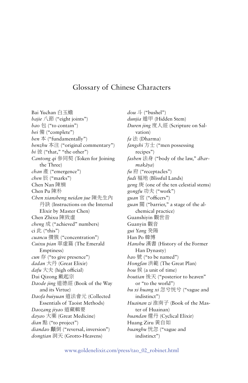Bai Yuchan 白玉蟾 *bajie* 八節 ("eight joints") *bao* ("to contain")  $bei$ 備 ("complete") *ben* 本 ("fundamentally") *benzhu* 本注 ("original commentary") *bi* 彼 ("that," "the other") Cantong qi 參同契 (Token for Joining the Three) *chan* 產 ("emergence") *chen* ("marks") Chen Nan 陳楠 Chen Pu 陳朴 *Chen xiansheng neidan jue* < 丹訣 (Instructions on the Internal Elixir by Master Chen) Chen Zhixu 陳致虛 *cheng* ("achieved" numbers) ci  $\mathbb H$  ("this") cuancu 攢簇 ("concentration") Cuixu pian 翠虛篇 (The Emerald Emptiness)  $\textit{cun} \in (\text{``to give presence''})$ dadan 大丹 (Great Elixir) dafu 大夫 (high official) Dai Qizong 戴起宗 *Daode jing* 道德經 (Book of the Way and its Virtue) Daofa huiyuan 道法會元 (Collected Essentials of Taoist Methods) Daozang jiyao 道藏輯要 dayao 大藥 (Great Medicine) *dian* 點 ("to project") diandao 颠倒 ("reversal, inversion") *dongtian* / (Grotto-Heavens)

 $d\omega \nleftrightarrow$  ("bushel") dunjia 遁甲 (Hidden Stem) *Duren jing* 度人經 (Scripture on Salvation) fa 法 (Dharma) *fangshi*  $\bar{\pi}$   $\pm$  ("men possessing recipes") *fashen* 法身 ("body of the law," *dharmakāya*)  $fu \nleftrightarrow$  ("receptacles") fudi 福地 (Blissful Lands) geng 庚 (one of the ten celestial stems) *gongfu* ("work") guan 官 ("officers") guan 關 ("barrier," a stage of the alchemical practice) Guanshiyin 觀世音 Guanyin 觀音 gui Yang 癸陽 Han Po 韓博 *Hanshu* 漢書 (History of the Former Han Dynasty) *hao* 號 ("to be named") *Hongfan* 洪範 (The Great Plan) *hou* 候 (a unit of time)  $\emph{boutian}$  後天 ("posterior to heaven" or "to the world")  $hu$  xi huang xi 忽兮恍兮 ("vague and indistinct") *Huainan zi* 淮南子 (Book of the Master of Huainan) huandan 還丹 (Cyclical Elixir) Huang Ziru 黃自如 huanghu 恍忽 ("vague and indistinct")

www.goldenelixir.com/press/tao\_02\_robinet.html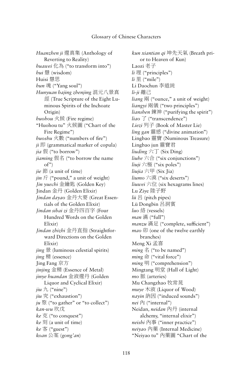*Huanzhen ji* 還真集 (Anthology of Reverting to Reality) *huawei* 化為 ("to transform into")  $hui$  慧 (wisdom) Huisi 慧思 *hun* 魂 ("Yang soul") Hunyuan bajing zhenjing 混元八景真 經 (True Scripture of the Eight Luminous Spirits of the Inchoate Origin) *huohou* 火候 (Fire regime) "Huohou tu" 火候圖 ("Chart of the Fire Regime") *huoshu*  $\mathcal{H}$  ("numbers of fire")  $ji$   $\mathbb{H}$  (grammatical marker of copula) *jia* 假 ("to borrow") *jiaming* 假名 ("to borrow the name of") *jie* 節 (a unit of time) *jin*  $\overline{F}$  ("pound," a unit of weight) *Jin yuechi* 金鑰匙 (Golden Key) Jindan 金丹 (Golden Elixir) *Jindan dayao* 金丹大要 (Great Essentials of the Golden Elixir) *Jindan sibai zi* 金丹四百字 (Four Hundred Words on the Golden Elixir) *Jindan zhizhi* 326 (Straightforward Directions on the Golden Elixir) *jing*  $\frac{m}{\sqrt{m}}$  (luminous celestial spirits) *jing* 精 (essence) Jing Fang 京方 *jinjing* 金精 (Essence of Metal) *jinye huandan* 金液還丹 (Golden Liquor and Cyclical Elixir) *jiu* 九 ("nine")  $ju \ncong$  ("exhaustion") *ju*  $\mathbb{R}$  ("to gather" or "to collect") *kan-wu* \$ *ke* ("to conquest") *ke* 刻 (a unit of time)  $ke \nleq$  ("guest") *koan* < (*gong'an*)

 $kun xiantian qi坤先天氣 (Breath pri$ or to Heaven of Kun) Laozi 老子 *li* 理 ("principles")  $li \nvert \equiv$  ("mile") Li Daochun 李道純  $li$ - $ji$  離己 *liang* 兩 ("ounce," a unit of weight) *liangyi* 兩儀 ("two principles") *lianshen* 鍊神 ("purifying the spirit") *liao* ("transcendence") Liezi 列子 (Book of Master Lie) *ling gan* 靈感 ("divine animation") Lingbao 靈寶 (Numinous Treasure) Lingbao jun 靈寶君 *liuding*  $\overrightarrow{\wedge}$  (Six Ding) *liuhe* 六合 ("six conjunctions")  $liuji$  六極 ("six poles") *liujia* 六甲 (Six Jia) *liumo* 六漠 ("six deserts") *liuwei*  $\hat{\pi}$ *f* $\hat{\alpha}$  (six hexagrams lines) Lu Ziye 陸子野  $li\mu \boxtimes$  (pitch pipes) Lü Dongbin 呂洞賓 *luo* 絡 (vessels) *man* 滿 ("full") *manzu* 滿足 ("complete, sufficient") *mao* 卯 (one of the twelve earthly branches) Meng Xi 孟喜 *ming* ("to be named") *ming*  $\hat{m}$  ("vital force") *ming* 明 ("comprehension") Mingtang 明堂 (Hall of Light) *mo* 脈 (arteries) Mu Changzhao 牧常晁 *muye* 木液 (Liquor of Wood) *nayin* 納因 ("induced sounds") *nei* ("internal") Neidan, neidan 內丹 (internal alchemy, "internal elixir") neishi 內事 ("inner practice") neiyao 內藥 (Internal Medicine) "Neiyao tu" 內藥圖 "Chart of the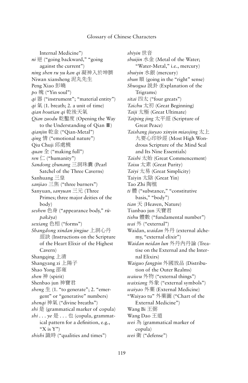Internal Medicine") *ni* 逆 ("going backward," "going against the current") *ning shen ru yu kan qi* 凝神入於坤臍 Niwan xiansheng 泥丸先生 Peng Xiao 彭曉 po 魄 ("Yin soul")  $qi \mathbb{R}$  ("instrument"; "material entity")  $qi \nless 1$ . breath; 2. a unit of time) *qian houtian qi* 乾後天氣 Qian zuodu 乾鑿度 (Opening the Way to the Understanding of Qian  $\equiv$ ) *qianjin* 乾金 ("Qian-Metal") *qing* 情 ("emotional nature") Qiu Chuji 邱處機 *quan* ("making full") *ren*  $\left\lfloor \right\lfloor$  ("humanity") *Sandong zhunang* 三洞珠囊 (Pearl Satchel of the Three Caverns) Sanhuang 三皇 sanjiao 三焦 ("three burners") Sanyuan, *sanyuan* 三元 (Three Primes; three major deities of the body) seshen 色身 ("appearance body," rū*pakāya*) *sexiang* 色相 ("forms") *Shangdong xindan jingjue* 上洞心丹 經訣 (Instructions on the Scripture of the Heart Elixir of the Highest Cavern) Shangqing 上清 Shangyang zi 上陽子 Shao Yong 邵雍 *shen* 神 (spirit) Shenbao jun 神寶君 *sheng*  $\pm$  (1. "to generate"; 2. "emergent" or "generative" numbers) shenqi 神氣 ("divine breaths") *shi* 是 (grammatical marker of copula) *shi* . . . ye 是 . . . 也 (copula, grammatical pattern for a definition, e.g., " $X$  is  $Y$ ") *shishi* 識時 ("qualities and times")

*shiyin* 世音 shuijin 水金 (Metal of the Water; "Water-Metal," i.e., mercury) shuiyin 水銀 (mercury) *shun* 順 (going in the "right" sense) *Shuogua* 説卦 (Explanation of the Trigrams) sitai 四太 ("four greats") Taichu 太初 (Great Beginning) Taiji 太極 (Great Ultimate) Taiping jing 太平經 (Scripture of Great Peace) *Taishang jiuyao xinyin miaojing* 九要心印妙經 (Most High Wondrous Scripture of the Mind Seal and Its Nine Essentials) *Taishi* (Great Commencement) Taisu 太素 (Great Purity) Taiyi 太易 (Great Simplicity) Taiyin 太陰 (Great Yin) Tao Zhi 陶植 ti 體 ("substance," "constitutive basis," "body") tian 天 (Heaven, Nature) Tianbao jun 天寶君 tishu 體數 ("fundamental number") *wai* ("external") Waidan, *waidan* 外丹 (external alchemy, "external elixir") *Waidan neidan lun* 外丹內丹論 (Treatise on the External and the Internal Elixirs) *Waiguo fangpin* 外國放品 (Distribution of the Outer Realms) waiwu 外物 ("external things") waixiang 外象 ("external symbols") *waiyao* 外藥 (External Medicine) "Waiyao tu" 外藥圖 ("Chart of the External Medicine") Wang Bi 王弼 Wang Dao 王道 *wei* 為 (grammatical marker of copula)

*wei* 衛 ("defense")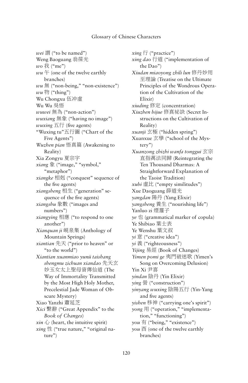*wei* 謂 ("to be named") Weng Baoguang 翁葆光  $wo\not\equiv$  ("me")  $wu \nightharpoonup$  (one of the twelve earthly branches)  $wu \ncong$  ("non-being," "non-existence")  $wu \nleftrightarrow$  ("thing") Wu Chongxu 伍冲虛 Wu Wu 吳悟 *wuwei* 無為 ("non-action") wuxiang 無象 ("having no image") *wuxing*  $\overline{\text{H}}$  (five agents) "Wuxing tu"五行圖 ("Chart of the Five Agents") *Wuzhen pian* 悟真篇 (Awakening to Reality) Xia Zongyu 4# *xiang* 象 ("image," "symbol," "metaphor") *xiangke* 相剋 ("conquest" sequence of the five agents) *xiangsheng* 相生 ("generation" sequence of the five agents) *xiangshu* 象數 ("images and numbers") *xiangying* 相應 ("to respond to one another") *Xianquan ji* 峴泉集 (Anthology of Mountain Springs) *xiantian* ("prior to heaven" or "to the world") *Xiantian xuanmiao yunü taishang shengmu zichuan xiandao* 妙玉女太上聖母資傳仙道 (The Way of Immortality Transmitted by the Most High Holy Mother, Precelestial Jade Woman of Obscure Mystery) Xiao Yanzhi 蕭延芝 Xici 繫辭 ("Great Appendix" to the *Book of Changes*)  $xin \rightharpoonup$  (heart, the intuitive spirit) *xing* 性 ("true nature," "original nature")

*xing* ("practice") *xing dao* 行道 ("implementation of the Dao")  $Xi$ *udan miaoyong zhili lun* 修丹妙用 至理論 (Treatise on the Ultimate Principles of the Wondrous Operation of the Cultivation of the Elixir) *xiuding* 修定 (concentration) Xiuzhen bijue 修真祕訣 (Secret Instructions on the Cultivation of Reality) *xuanji* 玄極 ("hidden spring") Xuanxue 玄學 ("school of the Mystery") *Xuanzong zhizhi wanfa tonggui* # 直指萬法同歸 (Reintegrating the Ten Thousand Dharmas: A Straightforward Explanation of the Taoist Tradition) *xubi* 虛比 ("empty similitudes") Xue Daoguang 薛道光 *yangdan* 陽丹 (Yang Elixir) yangsheng 養生 ("nourishing life") Yanluo zi 煙蘿子  $ye$  也 (grammatical marker of copula) Ye Shibiao 葉士表 Ye Wenshu 葉文叔  $vi \nleftrightarrow$  ("creative idea")  $yi \frac{2}{1}$  ("righteousness") Yijing 易經 (Book of Changes) *Yimen pomi ge* 夷門破迷歌 (Yimen's Song on Overcoming Delusion) Yin Xi 尹喜 *yindan* 陰丹 (Yin Elixir) *ying* 營 ("construction") *yinyang wuxing* 陰陽五行 (Yin-Yang and five agents)  $yishen$  穆神 ("carrying one's spirit") *yong* ("operation," "implementation," "functioning") *you* ("being," "existence") *you*  $\mathbb{E}$  (one of the twelve earthly branches)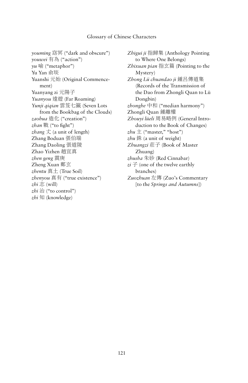*youming* ("dark and obscure") *youwei* ("action") *yu* % ("metaphor") Yu Yan 俞琰 Yuanshi 元始 (Original Commencement) Yuanyang zi 元陽子 *Yuanyou* 遠遊 (Far Roaming) *Yunji qiqian* 雲笈七籤 (Seven Lots from the Bookbag of the Clouds) zaohua 造化 ("creation") zhan 戰 ("to fight")  $zhang$   $\pm$  (a unit of length) Zhang Boduan 張伯端 Zhang Daoling 張道陵 Zhao Yizhen 趙宜真  $zhen$  geng 震庚 Zheng Xuan 鄭玄  $z$ *hentu* 真土 (True Soil) *zhenyou* ("true existence")  $zhi \n \mathrel{\ddot{\equiv}} (will)$ *zhi* ("to control") *zhi* (knowledge)

Zhigui ji 指歸集 (Anthology Pointing to Where One Belongs) Zhixuan pian 指玄篇 (Pointing to the Mystery) Zhong Lü chuandao ji 鍾呂傳道集 (Records of the Transmission of the Dao from Zhongli Quan to Lü Dongbin) *zhonghe* ("median harmony") Zhongli Quan 鍾離權 Zhouyi lüeli 周易略例 (General Introduction to the Book of Changes)  $zhu \pm$  ("master," "host")  $zhu \nleftrightarrow$  (a unit of weight) Zhuangzi 莊子 (Book of Master Zhuang) *zhusha*  (Red Cinnabar)  $zi \nightharpoonup$  (one of the twelve earthly branches) Zuozhuan 左傳 (Zuo's Commentary [to the *Springs and Autumns*])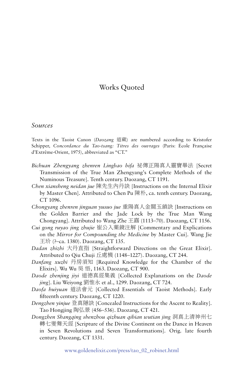## *Sources*

Texts in the Taoist Canon (*Daozang* 道藏) are numbered according to Kristofer Schipper, *Concordance du Tao-tsang: Titres des ouvrages* (Paris: École Française d'Extrême-Orient, 1975), abbreviated as "CT."

- Bichuan Zhengyang zhenren Lingbao bifa 祕傳正陽真人靈寶畢法 [Secret Transmission of the True Man Zhengyang's Complete Methods of the Numinous Treasure]. Tenth century. Daozang, CT 1191.
- Chen xiansheng neidan jue 陳先生內丹訣 [Instructions on the Internal Elixir by Master Chen]. Attributed to Chen Pu 陳朴, ca. tenth century. Daozang, CT 1096.
- Chongyang zhenren jinguan yusuo jue 重陽真人金關玉鎖訣 [Instructions on the Golden Barrier and the Jade Lock by the True Man Wang Chongyang]. Attributed to Wang Zhe 王嚞 (1113–70). Daozang, CT 1156.
- Cui gong ruyao jing *zhujie* 崔公入藥鏡注解 [Commentary and Explications on the *Mirror for Compounding the Medicine* by Master Cui]. Wang Jie 王玠 (?–ca. 1380). Daozang, CT 135.
- *Dadan zhizhi* 大丹直指 [Straightforward Directions on the Great Elixir]. Attributed to Qiu Chuji 丘處機 (1148–1227). Daozang, CT 244.
- *Danfang xuzhi* 丹房須知 [Required Knowledge for the Chamber of the Elixirs]. Wu Wu 吳 悟, 1163. Daozang, CT 900.
- *Daode zhenjing jiyi* 47 1-2 [Collected Explanations on the *Daode jing*]. Liu Weiyong 劉惟永 et al., 1299. Daozang, CT 724.
- *Daofa huiyuan* 道法會元 [Collected Essentials of Taoist Methods]. Early fifteenth century. Daozang, CT 1220.
- *Dengzhen yinjue* 登真隱訣 [Concealed Instructions for the Ascent to Reality]. Tao Hongjing 陶弘景 (456–536). Daozang, CT 421.
- *Dongzhen Shangqing shenzhou qizhuan qibian wutian jing* 洞真上清神州七 轉七變舞天經 [Scripture of the Divine Continent on the Dance in Heaven in Seven Revolutions and Seven Transformations]. Orig. late fourth century. Daozang, CT 1331.

www.goldenelixir.com/press/tao\_02\_robinet.html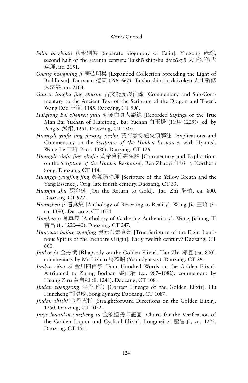- Falin biezhuan 法琳別傳 [Separate biography of Falin]. Yanzong 彥琮, second half of the seventh century. Taishō shinshu daizōkyō 大正新修大 藏經, no. 2051.
- Guang hongming *ji* 廣弘明集 [Expanded Collection Spreading the Light of Buddhism]. Daoxuan 道宣 (596–667). Taishō shinshu daizōkyō 大正新修 大藏經, no. 2103.
- Guwen longhu jing zhushu 古文龍虎經注疏 [Commentary and Sub-Commentary to the Ancient Text of the Scripture of the Dragon and Tiger]. Wang Dao  $\pm$ 道, 1185. Daozang, CT 996.
- Haiqiong Bai zhenren yulu 海瓊白真人語錄 [Recorded Sayings of the True Man Bai Yuchan of Haiqiong]. Bai Yuchan 白玉蟾 (1194–1229?), ed. by Peng Si 彭耜, 1251. Daozang, CT 1307.
- Huangdi yinfu jing jiasong jiezhu 黃帝陰符經夾頌解注 [Explications and Commentary on the *Scripture of the Hidden Response*, with Hymns]. Wang Jie  $\pm \hat{\psi}$  (?–ca. 1380). Daozang, CT 126.
- Huangdi vinfu jing zhujie 黃帝陰符經注解 [Commentary and Explications on the *Scripture of the Hidden Response*]. Ren Zhaoyi 任照一, Northern Song. Daozang, CT 114.
- *Huangqi yangjing jing* 黃氣陽精經 [Scripture of the Yellow Breath and the Yang Essence]. Orig. late fourth century. Daozang, CT 33.
- *Huanjin shu* 還金述 [On the Return to Gold]. Tao Zhi 陶植, ca. 800. Daozang, CT 922.
- *Huanzhen ji* 還真集 [Anthology of Reverting to Reality]. Wang Jie 王玠 (?ca. 1380). Daozang, CT 1074.
- *Huizhen ji* 會真集 [Anthology of Gathering Authenticity]. Wang Jichang 王 (fl. 1220–40). Daozang, CT 247.
- *Hunyuan bajing zhenjing* 混元八景真經 [True Scripture of the Eight Luminous Spirits of the Inchoate Origin]. Early twelfth century? Daozang, CT 660.
- *Jindan fu* 金丹賦 [Rhapsody on the Golden Elixir]. Tao Zhi 陶植 (ca. 800), commentary by Ma Lizhao 馬蒞昭 (Yuan dynasty). Daozang, CT 261.
- *Jindan sibai zi* 金丹四百字 [Four Hundred Words on the Golden Elixir]. Attributed to Zhang Boduan 張伯端 (ca. 987–1082); commentary by Huang Ziru 黃自如 (fl. 1241). Daozang, CT 1081.
- *Jindan zhengzong* 金丹正宗 [Correct Lineage of the Golden Elixir]. Hu Huncheng 胡混成, Song dynasty. Daozang, CT 1087.
- *Jindan zhizhi* 金丹直指 [Straightforward Directions on the Golden Elixir]. 1250. Daozang, CT 1072.
- *Jinye huandan yinzheng tu* 金液還丹印證圖 [Charts for the Verification of the Golden Liquor and Cyclical Elixir]. Longmei zi 龍眉子, ca. 1222. Daozang, CT 151.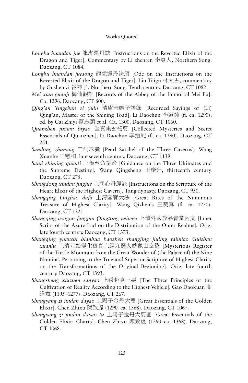- Longhu huandan jue 龍虎還丹訣 [Instructions on the Reverted Elixir of the Dragon and Tiger]. Commentary by Li zhenren 李真人, Northern Song. Daozang, CT 1084.
- Longhu huandan juesong 龍虎還丹訣頌 [Ode on the Instructions on the Reverted Elixir of the Dragon and Tiger]. Lin Taigu 林太古, commentary by Gushen zi 谷神子, Northern Song. Tenth century. Daozang, CT 1082.
- *Mei xian guanji* 梅仙觀記 [Records of the Abbey of the Immortal Mei Fu]. Ca. 1296. Daozang, CT 600.
- *Oing'an Yingchan zi yulu* 清庵瑩蟾子語錄 [Recorded Sayings of (Li) Qing'an, Master of the Shining Toad]. Li Daochun 李道純 (fl. ca. 1290); ed. by Cai Zhiyi 蔡志頤 et al. Ca. 1300. Daozang, CT 1060.
- Quanzhen jixuan biyao 全真集玄祕要 [Collected Mysteries and Secret Essentials of Quanzhen]. Li Daochun 李道純 (fl. ca. 1290). Daozang, CT 251.
- *Sandong zhunang* 三洞珠囊 [Pearl Satchel of the Three Caverns]. Wang Xuanhe 王懸和, late seventh century. Daozang, CT 1139.
- *Sanji zhiming quanti* 三極至命筌蹄 [Guidance on the Three Ultimates and the Supreme Destiny]. Wang Qingsheng 王慶升, thirteenth century. Daozang, CT 275.
- *Shangdong xindan jingjue* 上洞心丹經訣 [Instructions on the Scripture of the Heart Elixir of the Highest Cavern]. Tang dynasty. Daozang, CT 950.
- *Shangqing Lingbao dafa* 上清靈寶大法 [Great Rites of the Numinous Treasure of Highest Clarity]. Wang Qizhen's 王契真 (fl. ca. 1250). Daozang, CT 1221.
- *Shangqing waiguo fangpin Qingtong neiwen* 41\$#7 [Inner Script of the Azure Lad on the Distribution of the Outer Realms]. Orig. late fourth century. Daozang, CT 1373.
- *Shangqing yuanshi bianhua baozhen shangjing jiuling taimiao Guishan*  xuanlu 上清元始變化寶真上經九靈太妙龜山玄籙 [Mysterious Register of the Turtle Mountain from the Great Wonder of (the Palace of) the Nine Numina, Pertaining to the True and Superior Scripture of Highest Clarity on the Transformations of the Original Beginning]. Orig. late fourth century. Daozang, CT 1393.
- *Shangsheng xiuzhen sanyao* 上乘修真三要 [The Three Principles of the Cultivation of Reality According to the Highest Vehicle]. Gao Daokuan 高 道寬 (1195–1277). Daozang, CT 267.
- *Shangyang zi jindan dayao* 上陽子金丹大要 [Great Essentials of the Golden Elixir]. Chen Zhixu 6'8 (1290–ca. 1368). Daozang, CT 1067.
- *Shangyang zi jindan dayao tu* 上陽子金丹大要圖 [Great Essentials of the Golden Elixir: Charts]. Chen Zhixu 陳致虛 (1290–ca. 1368). Daozang, CT 1068.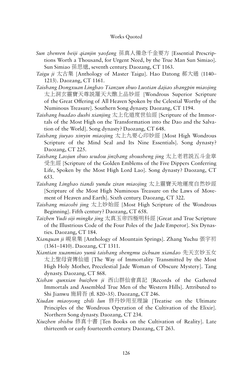- Sun zhenren beiji qianjin yaofang 孫真人備急千金要方 [Essential Prescriptions Worth a Thousand, for Urgent Need, by the True Man Sun Simiao]. Sun Simiao 孫思邈, seventh century. Daozang, CT 1163.
- Taigu ji 太古集 [Anthology of Master Taigu]. Hao Datong 郝大通 (1140– 1213). Daozang, CT 1161.
- *Taishang Dongxuan Lingbao Tianzun shuo Luotian dajiao shangpin miaojing* 太上洞玄靈寶天尊説羅天大醮上品妙經 [Wondrous Superior Scripture of the Great Offering of All Heaven Spoken by the Celestial Worthy of the Numinous Treasure]. Southern Song dynasty. Daozang, CT 1194.
- *Taishang huadao dushi xianjing* L-G [Scripture of the Immortals of the Most High on the Transformation into the Dao and the Salvation of the World]. Song dynasty? Daozang, CT 648.
- T*aishang jiuyao xinyin miaojing* 太上九要心印妙經 [Most High Wondrous Scripture of the Mind Seal and Its Nine Essentials]. Song dynasty? Daozang, CT 225.
- Taishang Laojun shuo wudou jinzhang shousheng jing 太上老君説五斗金章 受生經 [Scripture of the Golden Emblems of the Five Dippers Conferring Life, Spoken by the Most High Lord Lao]. Song dynasty? Daozang, CT 653.
- Taishang Lingbao tiandi yundu ziran miaojing 太上靈寶天地運度自然妙經 [Scripture of the Most High Numinous Treasure on the Laws of Movement of Heaven and Earth]. Sixth century. Daozang, CT 322.
- Taishang miaoshi jing 太上妙始經 [Most High Scripture of the Wondrous Beginning]. Fifth century? Daozang, CT 658.
- Taizhen Yudi siji mingke jing 太真玉帝四極明科經 [Great and True Scripture of the Illustrious Code of the Four Poles of the Jade Emperor]. Six Dynasties. Daozang, CT 184.
- *Xianquan ji* 峴泉集 [Anthology of Mountain Springs]. Zhang Yuchu 張宇初 (1361–1410). Daozang, CT 1311.
- $X$ iantian xuanmiao yunü taishang shengmu zichuan xiandao 先天玄妙玉女 太上聖母資傳仙道 [The Way of Immortality Transmitted by the Most High Holy Mother, Precelestial Jade Woman of Obscure Mystery]. Tang dynasty. Daozang, CT 868.
- *Xishan qunxian huizhen ji* 西山群仙會真記 [Records of the Gathered Immortals and Assembled True Men of the Western Hills]. Attributed to Shi Jianwu 施肩吾 (fl. 820–35). Daozang, CT 246.
- Xiudan miaoyong zhili lun 修丹妙用至理論 [Treatise on the Ultimate Principles of the Wondrous Operation of the Cultivation of the Elixir]. Northern Song dynasty. Daozang, CT 234.
- *Xiuzhen shishu* 修真十書 [Ten Books on the Cultivation of Reality]. Late thirteenth or early fourteenth century. Daozang, CT 263.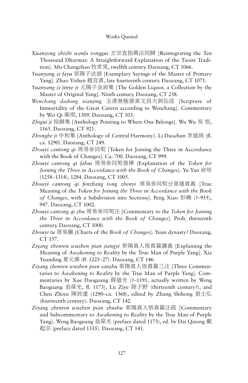- Xuanzong zhizhi wanfa tonggui 玄宗直指萬法同歸 [Reintegrating the Ten Thousand Dharmas: A Straightforward Explanation of the Taoist Tradition]. Mu Changzhao 牧常晁, twelfth century. Daozang, CT 1066.
- *Yuanyang zi fayu* 原陽子法語 [Exemplary Sayings of the Master of Primary Yang]. Zhao Yizhen 趙宜真, late fourteenth century. Daozang, CT 1071.
- *Yuanyang zi jinye ji* 元陽子金液集 [The Golden Liquor, a Collection by the Master of Original Yang]. Ninth century. Daozang, CT 238.
- Wenchang dadong xianjing 玉清無極總真文昌大洞仙經 [Scripture of Immortality of the Great Cavern according to Wenchang]. Commentary by Wei Qi 衛琪, 1309. Daozang, CT 103.
- Zhigui ji 指歸集 [Anthology Pointing to Where One Belongs]. Wu Wu 吳 悟, 1165. Daozang, CT 921.
- Zhonghe *ji* 中和集 [Anthology of Central Harmony]. Li Daochun 李道純 (fl. ca. 1290). Daozang, CT 249.
- Zhouyi cantong qi 周易參同契 [Token for Joining the Three in Accordance with the Book of Changes]. Ca. 700. Daozang, CT 999.
- Zhouyi cantong qi fahui 周易參同契發揮 [Explanation of the *Token for Joining the Three in Accordance with the Book of Changes*]. Yu Yan 俞琰 (1258–1314), 1284. Daozang, CT 1005.
- Zhouyi cantong qi fenzhang tong zhenyi 周易參同契分章通真義 [True Meaning of the *Token for Joining the Three in Accordance with the Book of Changes*, with a Subdivision into Sections]. Peng Xiao 彭曉 (?–955), 947. Daozang, CT 1002.
- Zhouyi cantong qi zhu 周易參同契注 [Commentary to the *Token for Joining the Three in Accordance with the Book of Changes*]. Prob. thirteenth century. Daozang, CT 1000.
- Zhouyi tu 周易圖 [Charts of the *Book of Changes*]. Yuan dynasty? Daozang, CT 157.
- Ziyang zhenren wuzhen pian jiangyi 紫陽真人悟真篇講義 [Explaining the Meaning of *Awakening to Reality* by the True Man of Purple Yang]. Xia Yuanding 夏元鼎 (fl. 1225–27). Daozang, CT 146.
- Ziyang zhenren wuzhen pian sanzhu 紫陽真人悟真篇三注 [Three Commentaries to *Awakening to Reality* by the True Man of Purple Yang]. Commentaries by Xue Daoguang 薛道光 (?–1191, actually written by Weng Baoguang 翁葆光, fl. 1173), Lu Ziye 陸子野 (thirteenth century?), and Chen Zhixu 陳致虛 (1290–ca. 1368), edited by Zhang Shihong 張士弘 (fourteenth century). Daozang, CT 142.
- Ziyang zhenren wuzhen pian zhushu 紫陽真人悟真篇注疏 [Commentary and Subcommentary to *Awakening to Reality* by the True Man of Purple Yang]. Weng Baoguang 翁葆光 (preface dated 1173), ed. by Dai Qizong 戴 ) (preface dated 1335). Daozang, CT 141.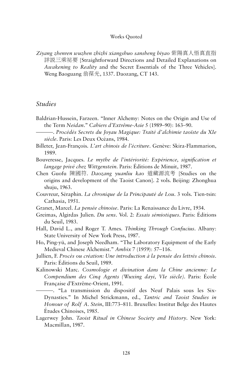*Ziyang zhenren wuzhen zhizhi xiangshuo sansheng biyao* 詳説三乘祕要 [Straightforward Directions and Detailed Explanations on *Awakening to Reality* and the Secret Essentials of the Three Vehicles]. Weng Baoguang 翁葆光, 1337. Daozang, CT 143.

## *Studies*

- Baldrian-Hussein, Farzeen. "Inner Alchemy: Notes on the Origin and Use of the Term *Neidan*." *Cahiers d'Extrême-Asie* 5 (1989–90): 163–90.
	- ———. *Procédés Secrets du Joyau Magique: Traité d'alchimie taoïste du XIe siècle*. Paris: Les Deux Océans, 1984.
- Billeter, Jean-François. *L'art chinois de l'écriture*. Genève: Skira-Flammarion, 1989.
- Bouveresse, Jacques. *Le mythe de l'intériorité: Expérience, signification et langage privé chez Wittgenstein*. Paris: Éditions de Minuit, 1987.
- Chen Guofu 陳國符. *Daozang yuanliu kao* 道藏源流考 [Studies on the origins and development of the Taoist Canon]. 2 vols. Beijing: Zhonghua shuju, 1963.
- Couvreur, Séraphin. *La chronique de la Principauté de Lou*. 3 vols. Tien-tsin: Cathasia, 1951.
- Granet, Marcel. *La pensée chinoise*. Paris: La Renaissance du Livre, 1934.
- Greimas, Algirdas Julien. *Du sens*. Vol. 2: *Essais sémiotiques*. Paris: Éditions du Seuil, 1983.
- Hall, David L., and Roger T. Ames. *Thinking Through Confucius*. Albany: State University of New York Press, 1987.
- Ho, Ping-yü, and Joseph Needham. "The Laboratory Equipment of the Early Medieval Chinese Alchemist." *Ambix* 7 (1959): 57–116.
- Jullien, F. *Procès ou création: Une introduction à la pensée des lettrés chinois*. Paris: Éditions du Seuil, 1989.
- Kalinowski Marc. *Cosmologie et divination dans la Chine ancienne: Le Compendium des Cinq Agents (Wuxing dayi, VIe siècle)*. Paris: École Française d'Extrême-Orient, 1991.

———. "La transmission du dispositif des Neuf Palais sous les Six-Dynasties." In Michel Strickmann, ed., *Tantric and Taoist Studies in Honour of Rolf A. Stein*, III:773–811. Bruxelles: Institut Belge des Hautes Études Chinoises, 1985.

Lagerwey John. *Taoist Ritual in Chinese Society and History*. New York: Macmillan, 1987.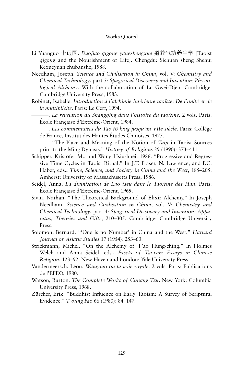- Li Yuanguo 李远国. *Daojiao qigong yangshengxue* 道教气功养生学 [Taoist *qigong* and the Nourishment of Life]. Chengdu: Sichuan sheng Shehui Kexueyuan chubanshe, 1988.
- Needham, Joseph. *Science and Civilisation in China*, vol. V: *Chemistry and Chemical Technology*, part 5: *Spagyrical Discovery and Invention: Physiological Alchemy*. With the collaboration of Lu Gwei-Djen. Cambridge: Cambridge University Press, 1983.
- Robinet, Isabelle. *Introduction à l'alchimie intérieure taoïste: De l'unité et de la multiplicité.* Paris: Le Cerf, 1994.
	- ———. *La révélation du Shangqing dans l'histoire du taoïsme*. 2 vols. Paris: École Française d'Extrême-Orient, 1984.
	- ———. *Les commentaires du Tao tö king jusqu'au VIIe siècle*. Paris: Collège de France, Institut des Hautes Études Chinoises, 1977.
	- ———. "The Place and Meaning of the Notion of *Taiji* in Taoist Sources prior to the Ming Dynasty." *History of Religions* 29 (1990): 373–411.
- Schipper, Kristofer M., and Wang Hsiu-huei. 1986. "Progressive and Regressive Time Cycles in Taoist Ritual." In J.T. Fraser, N. Lawrence, and F.C. Haber, eds., *Time, Science, and Society in China and the West*, 185–205. Amherst: University of Massachusetts Press, 1986.
- Seidel, Anna. *La divinisation de Lao tseu dans le Taoïsme des Han*. Paris: École Française d'Extrême-Orient, 1969.
- Sivin, Nathan. "The Theoretical Background of Elixir Alchemy." In Joseph Needham, *Science and Civilisation in China*, vol. V: *Chemistry and Chemical Technology*, part 4: *Spagyrical Discovery and Invention: Apparatus, Theories and Gifts*, 210–305. Cambridge: Cambridge University Press.
- Solomon, Bernard. "'One is no Number' in China and the West." *Harvard Journal of Asiatic Studies* 17 (1954): 253–60.
- Strickmann, Michel. "On the Alchemy of T'ao Hung-ching." In Holmes Welch and Anna Seidel, eds., *Facets of Taoism: Essays in Chinese Religion*, 123–92. New Haven and London: Yale University Press.
- Vandermeersch, Léon. *Wangdao ou la voie royale*. 2 vols. Paris: Publications de l'EFEO, 1980.
- Watson, Burton. *The Complete Works of Chuang Tzu*. New York: Columbia University Press, 1968.
- Zürcher, Erik. "Buddhist Influence on Early Taoism: A Survey of Scriptural Evidence." *T'oung Pao* 66 (1980): 84–147.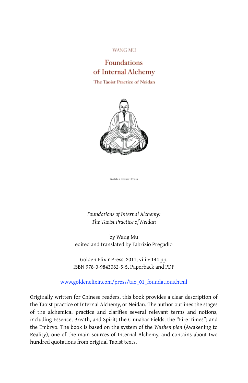#### **WANG MU**

## **Foundations** of Internal Alchemy

The Taoist Practice of Neidan



Golden Elixir Press

*Foundations of Internal Alchemy: The Taoist Practice of Neidan*

by Wang Mu edited and translated by Fabrizio Pregadio

Golden Elixir Press, 2011, viii + 144 pp. ISBN 978-0-9843082-5-5, Paperback and PDF

[www.goldenelixir.com/press/tao\\_01\\_foundations.html](http://www.goldenelixir.com/press/tao_01_foundations.html)

Originally written for Chinese readers, this book provides a clear description of the Taoist practice of Internal Alchemy, or Neidan. The author outlines the stages of the alchemical practice and clarifies several relevant terms and notions, including Essence, Breath, and Spirit; the Cinnabar Fields; the "Fire Times"; and the Embryo. The book is based on the system of the *Wuzhen pian* (Awakening to Reality), one of the main sources of Internal Alchemy, and contains about two hundred quotations from original Taoist texts.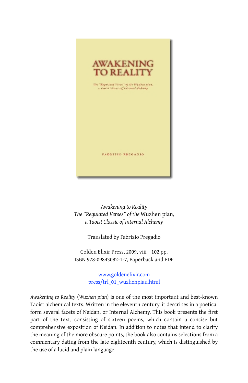

*Awakening to Reality The "Regulated Verses" of the* Wuzhen pian*, a Taoist Classic of Internal Alchemy*

Translated by Fabrizio Pregadio

Golden Elixir Press, 2009, viii + 102 pp. ISBN 978-09843082-1-7, Paperback and PDF

> [www.goldenelixir.com](http://www.goldenelixir.com/press/trl_01_wuzhenpian.html) [press/trl\\_01\\_wuzhenpian.html](http://www.goldenelixir.com/press/trl_01_wuzhenpian.html)

*Awakening to Reality* (*Wuzhen pian*) is one of the most important and best-known Taoist alchemical texts. Written in the eleventh century, it describes in a poetical form several facets of Neidan, or Internal Alchemy. This book presents the first part of the text, consisting of sixteen poems, which contain a concise but comprehensive exposition of Neidan. In addition to notes that intend to clarify the meaning of the more obscure points, the book also contains selections from a commentary dating from the late eighteenth century, which is distinguished by the use of a lucid and plain language.